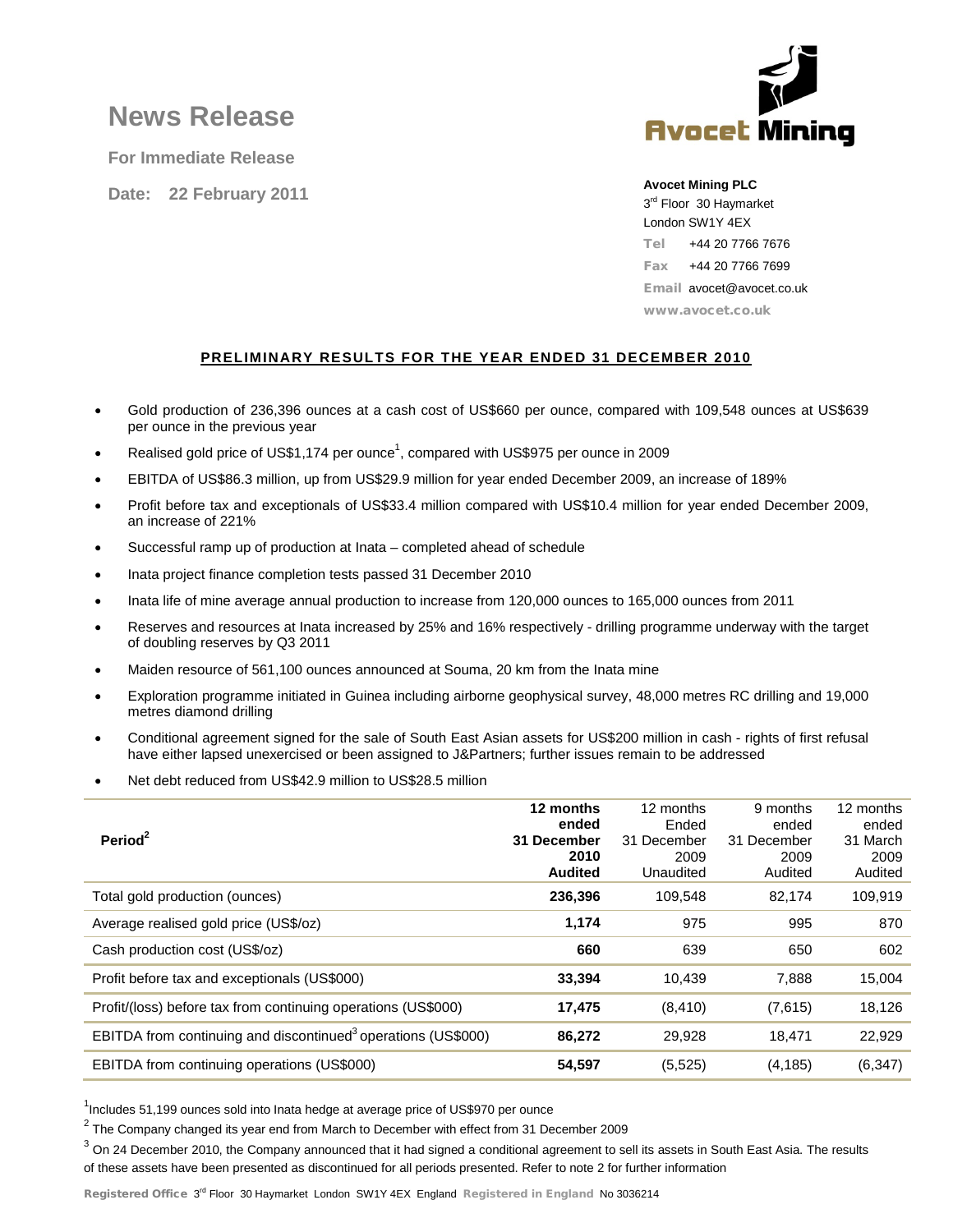# **News Release**

**For Immediate Release**

**Date: 22 February 2011**



# **Avocet Mining PLC**

3<sup>rd</sup> Floor 30 Haymarket London SW1Y 4EX Tel +44 20 7766 7676 Fax +44 20 7766 7699 Email avocet@avocet.co.uk www.avocet.co.uk

# **PRELIMINARY RESULTS FOR THE YEAR ENDED 31 DECEMBER 2010**

- Gold production of 236,396 ounces at a cash cost of US\$660 per ounce, compared with 109,548 ounces at US\$639 per ounce in the previous year
- Realised gold price of US\$1,174 per ounce<sup>1</sup>, compared with US\$975 per ounce in 2009
- EBITDA of US\$86.3 million, up from US\$29.9 million for year ended December 2009, an increase of 189%
- Profit before tax and exceptionals of US\$33.4 million compared with US\$10.4 million for year ended December 2009, an increase of 221%
- Successful ramp up of production at Inata completed ahead of schedule
- Inata project finance completion tests passed 31 December 2010
- Inata life of mine average annual production to increase from 120,000 ounces to 165,000 ounces from 2011
- Reserves and resources at Inata increased by 25% and 16% respectively drilling programme underway with the target of doubling reserves by Q3 2011
- Maiden resource of 561,100 ounces announced at Souma, 20 km from the Inata mine
- Exploration programme initiated in Guinea including airborne geophysical survey, 48,000 metres RC drilling and 19,000 metres diamond drilling
- Conditional agreement signed for the sale of South East Asian assets for US\$200 million in cash rights of first refusal have either lapsed unexercised or been assigned to J&Partners; further issues remain to be addressed
- Net debt reduced from US\$42.9 million to US\$28.5 million

| Period <sup>2</sup>                                                       | 12 months<br>ended<br>31 December<br>2010<br><b>Audited</b> | 12 months<br>Ended<br>31 December<br>2009<br>Unaudited | 9 months<br>ended<br>31 December<br>2009<br>Audited | 12 months<br>ended<br>31 March<br>2009<br>Audited |
|---------------------------------------------------------------------------|-------------------------------------------------------------|--------------------------------------------------------|-----------------------------------------------------|---------------------------------------------------|
| Total gold production (ounces)                                            | 236,396                                                     | 109.548                                                | 82,174                                              | 109,919                                           |
| Average realised gold price (US\$/oz)                                     | 1,174                                                       | 975                                                    | 995                                                 | 870                                               |
| Cash production cost (US\$/oz)                                            | 660                                                         | 639                                                    | 650                                                 | 602                                               |
| Profit before tax and exceptionals (US\$000)                              | 33,394                                                      | 10,439                                                 | 7,888                                               | 15,004                                            |
| Profit/(loss) before tax from continuing operations (US\$000)             | 17,475                                                      | (8, 410)                                               | (7,615)                                             | 18,126                                            |
| EBITDA from continuing and discontinued <sup>3</sup> operations (US\$000) | 86,272                                                      | 29,928                                                 | 18,471                                              | 22,929                                            |
| EBITDA from continuing operations (US\$000)                               | 54,597                                                      | (5, 525)                                               | (4, 185)                                            | (6, 347)                                          |

<sup>1</sup>Includes 51,199 ounces sold into Inata hedge at average price of US\$970 per ounce

 $2$  The Company changed its year end from March to December with effect from 31 December 2009

 $3$  On 24 December 2010, the Company announced that it had signed a conditional agreement to sell its assets in South East Asia. The results of these assets have been presented as discontinued for all periods presented. Refer to note 2 for further information

Registered Office 3<sup>rd</sup> Floor 30 Haymarket London SW1Y 4EX England Registered in England No 3036214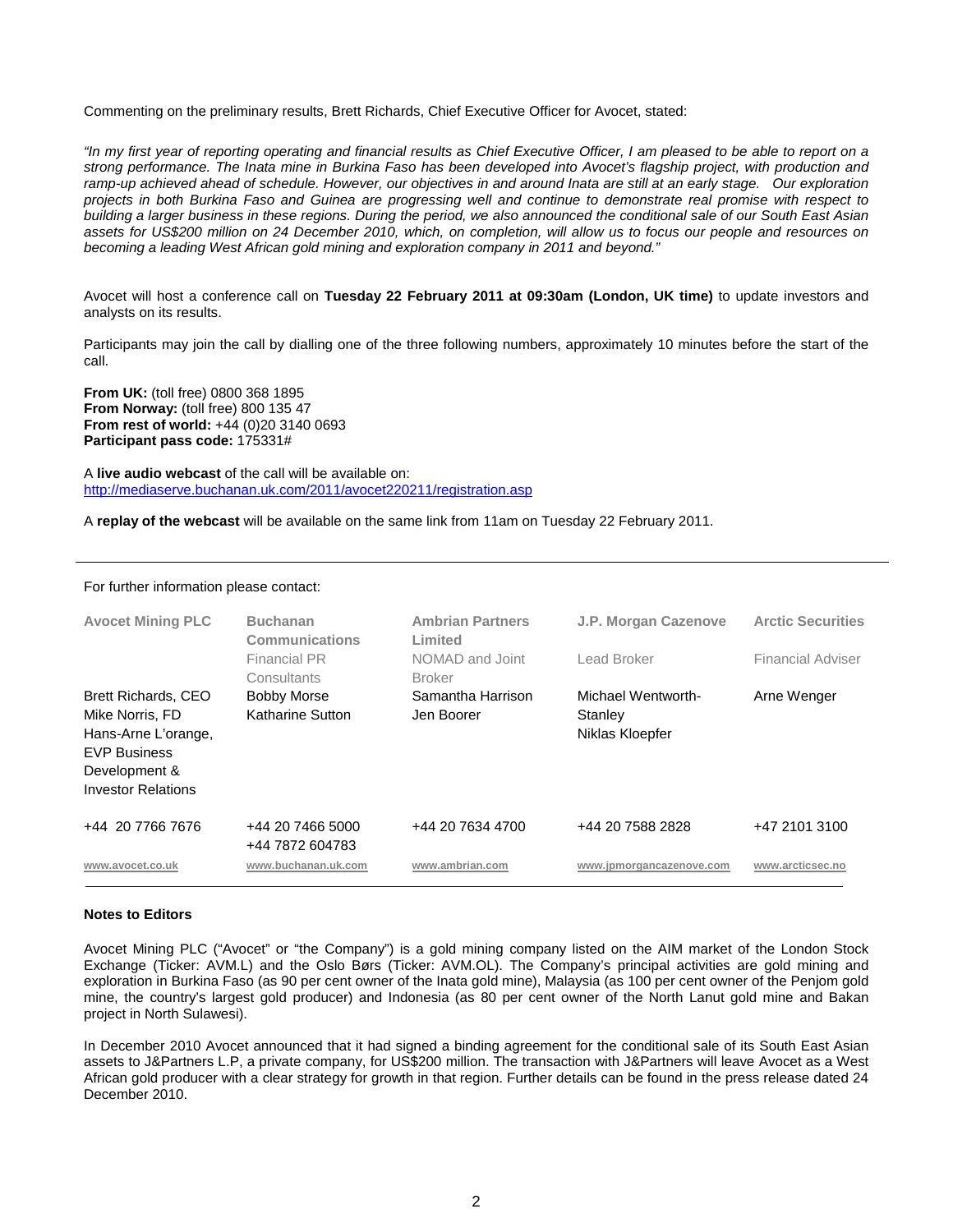Commenting on the preliminary results, Brett Richards, Chief Executive Officer for Avocet, stated:

*"In my first year of reporting operating and financial results as Chief Executive Officer, I am pleased to be able to report on a strong performance. The Inata mine in Burkina Faso has been developed into Avocet's flagship project, with production and ramp-up achieved ahead of schedule. However, our objectives in and around Inata are still at an early stage. Our exploration projects in both Burkina Faso and Guinea are progressing well and continue to demonstrate real promise with respect to building a larger business in these regions. During the period, we also announced the conditional sale of our South East Asian assets for US\$200 million on 24 December 2010, which, on completion, will allow us to focus our people and resources on becoming a leading West African gold mining and exploration company in 2011 and beyond."*

Avocet will host a conference call on **Tuesday 22 February 2011 at 09:30am (London, UK time)** to update investors and analysts on its results.

Participants may join the call by dialling one of the three following numbers, approximately 10 minutes before the start of the call.

**From UK:** (toll free) 0800 368 1895 **From Norway:** (toll free) 800 135 47 **From rest of world:** +44 (0)20 3140 0693 **Participant pass code:** 175331#

A **live audio webcast** of the call will be available on: <http://mediaserve.buchanan.uk.com/2011/avocet220211/registration.asp>

A **replay of the webcast** will be available on the same link from 11am on Tuesday 22 February 2011.

| <b>Avocet Mining PLC</b>                                                                                                        | <b>Buchanan</b><br><b>Communications</b> | <b>Ambrian Partners</b><br>Limited | J.P. Morgan Cazenove       | <b>Arctic Securities</b> |  |
|---------------------------------------------------------------------------------------------------------------------------------|------------------------------------------|------------------------------------|----------------------------|--------------------------|--|
|                                                                                                                                 | Financial PR<br>Consultants              | NOMAD and Joint<br><b>Broker</b>   | Lead Broker                | <b>Financial Adviser</b> |  |
| <b>Brett Richards, CEO</b>                                                                                                      | <b>Bobby Morse</b>                       | Samantha Harrison                  | Michael Wentworth-         | Arne Wenger              |  |
| Katharine Sutton<br>Mike Norris, FD<br>Hans-Arne L'orange,<br><b>EVP Business</b><br>Development &<br><b>Investor Relations</b> |                                          | Jen Boorer                         | Stanley<br>Niklas Kloepfer |                          |  |
| +44 20 7766 7676                                                                                                                | +44 20 7466 5000<br>+44 7872 604783      | +44 20 7634 4700                   | +44 20 7588 2828           | +47 2101 3100            |  |
| www.avocet.co.uk                                                                                                                | www.buchanan.uk.com                      | www.ambrian.com                    | www.jpmorgancazenove.com   | www.arcticsec.no         |  |

#### For further information please contact:

#### **Notes to Editors**

Avocet Mining PLC ("Avocet" or "the Company") is a gold mining company listed on the AIM market of the London Stock Exchange (Ticker: AVM.L) and the Oslo Børs (Ticker: AVM.OL). The Company's principal activities are gold mining and exploration in Burkina Faso (as 90 per cent owner of the Inata gold mine), Malaysia (as 100 per cent owner of the Penjom gold mine, the country's largest gold producer) and Indonesia (as 80 per cent owner of the North Lanut gold mine and Bakan project in North Sulawesi).

In December 2010 Avocet announced that it had signed a binding agreement for the conditional sale of its South East Asian assets to J&Partners L.P, a private company, for US\$200 million. The transaction with J&Partners will leave Avocet as a West African gold producer with a clear strategy for growth in that region. Further details can be found in the press release dated 24 December 2010.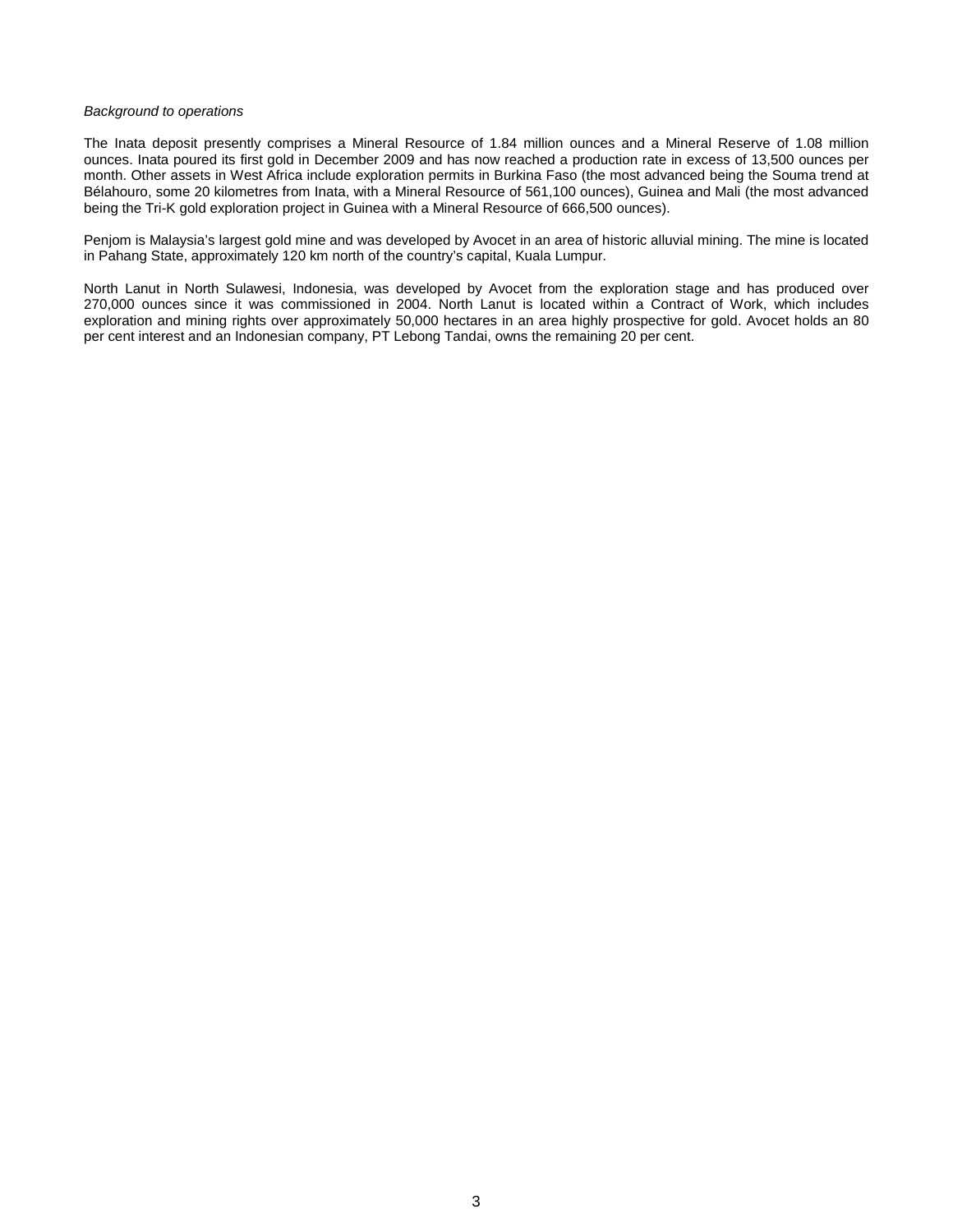#### *Background to operations*

The Inata deposit presently comprises a Mineral Resource of 1.84 million ounces and a Mineral Reserve of 1.08 million ounces. Inata poured its first gold in December 2009 and has now reached a production rate in excess of 13,500 ounces per month. Other assets in West Africa include exploration permits in Burkina Faso (the most advanced being the Souma trend at Bélahouro, some 20 kilometres from Inata, with a Mineral Resource of 561,100 ounces), Guinea and Mali (the most advanced being the Tri-K gold exploration project in Guinea with a Mineral Resource of 666,500 ounces).

Penjom is Malaysia's largest gold mine and was developed by Avocet in an area of historic alluvial mining. The mine is located in Pahang State, approximately 120 km north of the country's capital, Kuala Lumpur.

North Lanut in North Sulawesi, Indonesia, was developed by Avocet from the exploration stage and has produced over 270,000 ounces since it was commissioned in 2004. North Lanut is located within a Contract of Work, which includes exploration and mining rights over approximately 50,000 hectares in an area highly prospective for gold. Avocet holds an 80 per cent interest and an Indonesian company, PT Lebong Tandai, owns the remaining 20 per cent.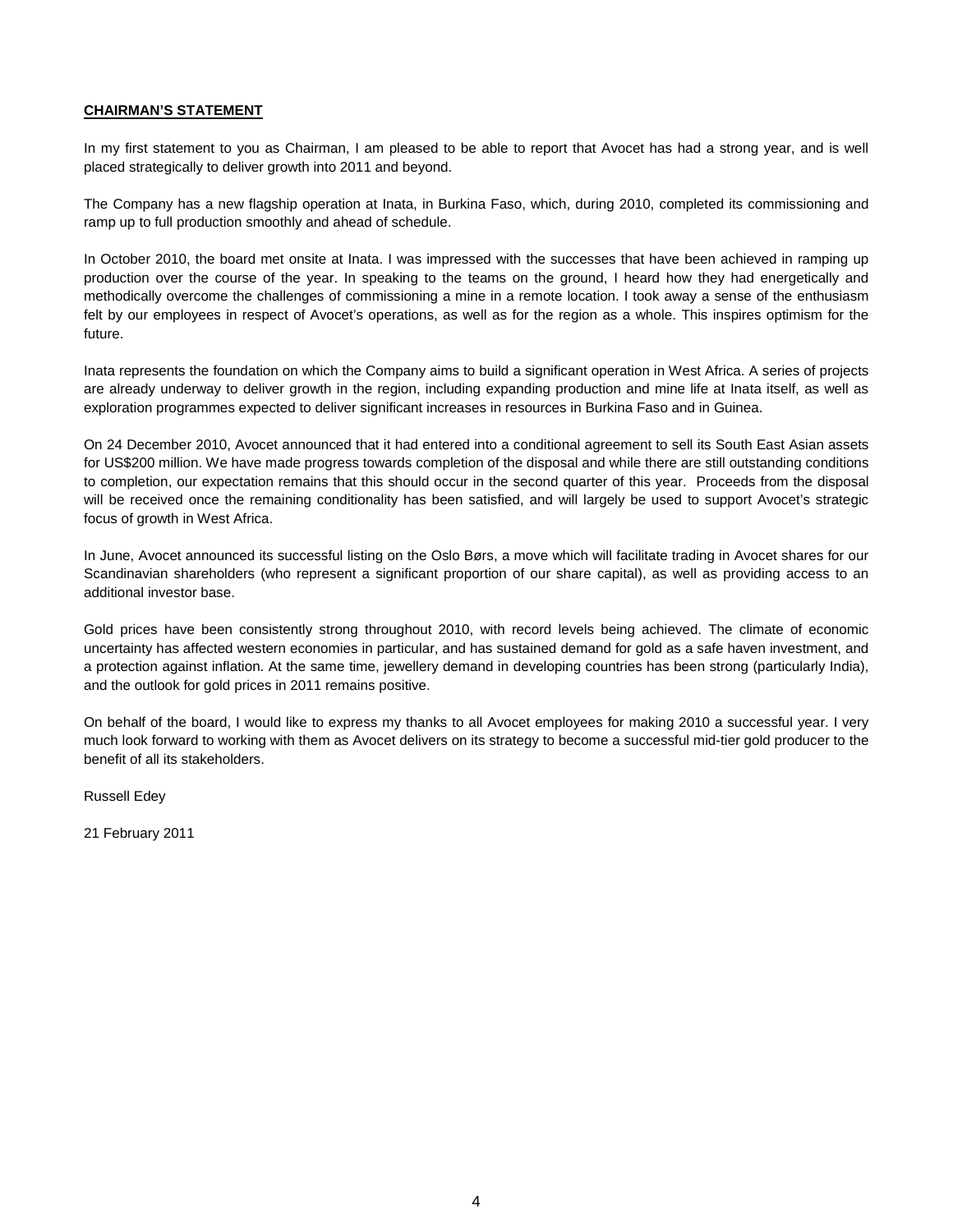# **CHAIRMAN'S STATEMENT**

In my first statement to you as Chairman, I am pleased to be able to report that Avocet has had a strong year, and is well placed strategically to deliver growth into 2011 and beyond.

The Company has a new flagship operation at Inata, in Burkina Faso, which, during 2010, completed its commissioning and ramp up to full production smoothly and ahead of schedule.

In October 2010, the board met onsite at Inata. I was impressed with the successes that have been achieved in ramping up production over the course of the year. In speaking to the teams on the ground, I heard how they had energetically and methodically overcome the challenges of commissioning a mine in a remote location. I took away a sense of the enthusiasm felt by our employees in respect of Avocet's operations, as well as for the region as a whole. This inspires optimism for the future.

Inata represents the foundation on which the Company aims to build a significant operation in West Africa. A series of projects are already underway to deliver growth in the region, including expanding production and mine life at Inata itself, as well as exploration programmes expected to deliver significant increases in resources in Burkina Faso and in Guinea.

On 24 December 2010, Avocet announced that it had entered into a conditional agreement to sell its South East Asian assets for US\$200 million. We have made progress towards completion of the disposal and while there are still outstanding conditions to completion, our expectation remains that this should occur in the second quarter of this year. Proceeds from the disposal will be received once the remaining conditionality has been satisfied, and will largely be used to support Avocet's strategic focus of growth in West Africa.

In June, Avocet announced its successful listing on the Oslo Børs, a move which will facilitate trading in Avocet shares for our Scandinavian shareholders (who represent a significant proportion of our share capital), as well as providing access to an additional investor base.

Gold prices have been consistently strong throughout 2010, with record levels being achieved. The climate of economic uncertainty has affected western economies in particular, and has sustained demand for gold as a safe haven investment, and a protection against inflation. At the same time, jewellery demand in developing countries has been strong (particularly India), and the outlook for gold prices in 2011 remains positive.

On behalf of the board, I would like to express my thanks to all Avocet employees for making 2010 a successful year. I very much look forward to working with them as Avocet delivers on its strategy to become a successful mid-tier gold producer to the benefit of all its stakeholders.

Russell Edey

21 February 2011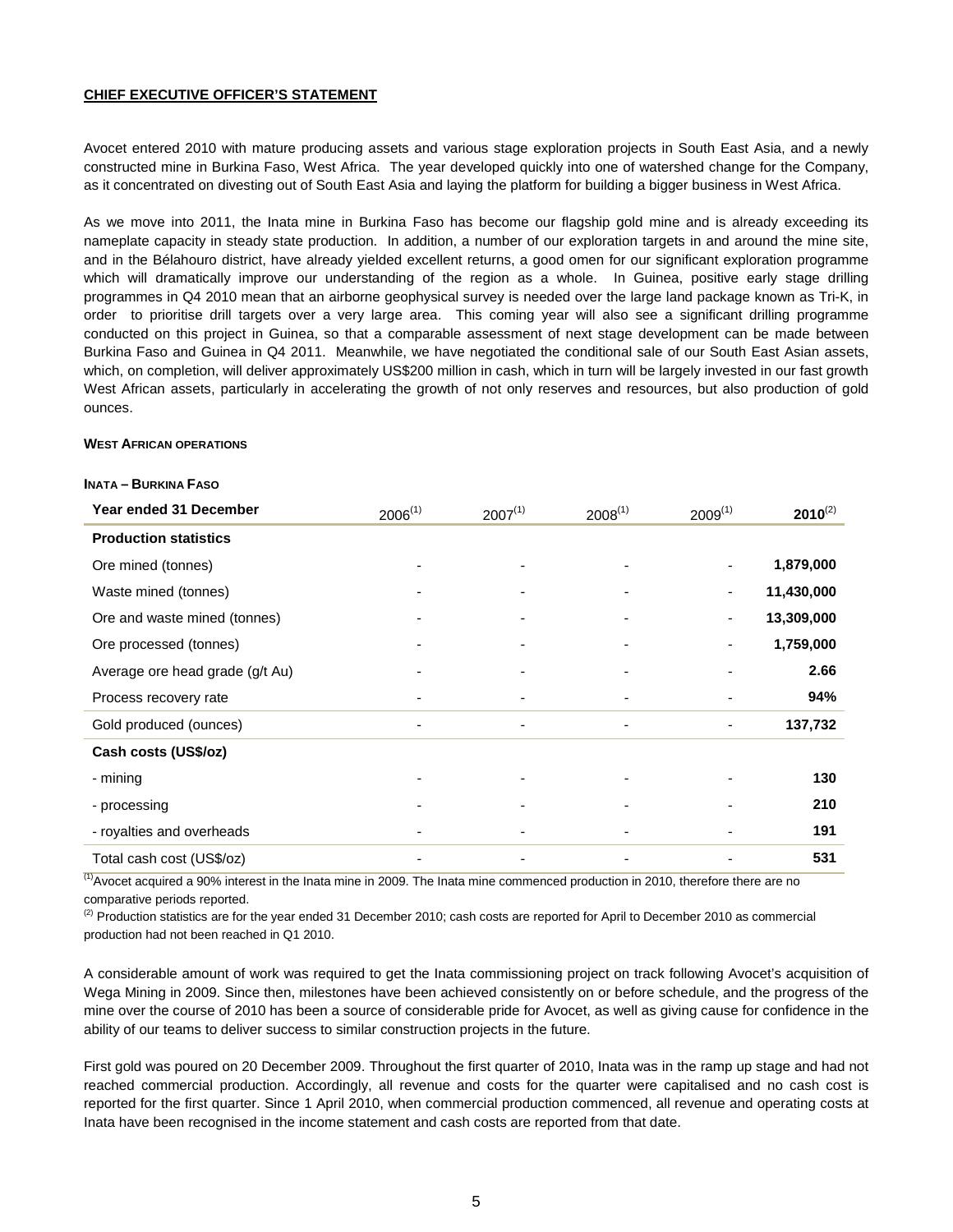# **CHIEF EXECUTIVE OFFICER'S STATEMENT**

Avocet entered 2010 with mature producing assets and various stage exploration projects in South East Asia, and a newly constructed mine in Burkina Faso, West Africa. The year developed quickly into one of watershed change for the Company, as it concentrated on divesting out of South East Asia and laying the platform for building a bigger business in West Africa.

As we move into 2011, the Inata mine in Burkina Faso has become our flagship gold mine and is already exceeding its nameplate capacity in steady state production. In addition, a number of our exploration targets in and around the mine site, and in the Bélahouro district, have already yielded excellent returns, a good omen for our significant exploration programme which will dramatically improve our understanding of the region as a whole. In Guinea, positive early stage drilling programmes in Q4 2010 mean that an airborne geophysical survey is needed over the large land package known as Tri-K, in order to prioritise drill targets over a very large area. This coming year will also see a significant drilling programme conducted on this project in Guinea, so that a comparable assessment of next stage development can be made between Burkina Faso and Guinea in Q4 2011. Meanwhile, we have negotiated the conditional sale of our South East Asian assets, which, on completion, will deliver approximately US\$200 million in cash, which in turn will be largely invested in our fast growth West African assets, particularly in accelerating the growth of not only reserves and resources, but also production of gold ounces.

#### **WEST AFRICAN OPERATIONS**

#### **INATA – BURKINA FASO**

| Year ended 31 December          | $2006^{(1)}$ | $2007^{(1)}$ | $2008^{(1)}$ | $2009^{(1)}$             | $2010^{(2)}$ |
|---------------------------------|--------------|--------------|--------------|--------------------------|--------------|
| <b>Production statistics</b>    |              |              |              |                          |              |
| Ore mined (tonnes)              |              |              |              | $\overline{\phantom{a}}$ | 1,879,000    |
| Waste mined (tonnes)            |              |              |              | $\overline{\phantom{a}}$ | 11,430,000   |
| Ore and waste mined (tonnes)    |              |              |              |                          | 13,309,000   |
| Ore processed (tonnes)          |              |              |              | $\overline{\phantom{0}}$ | 1,759,000    |
| Average ore head grade (g/t Au) |              |              |              |                          | 2.66         |
| Process recovery rate           |              |              |              |                          | 94%          |
| Gold produced (ounces)          |              | -            | -            | $\overline{\phantom{0}}$ | 137,732      |
| Cash costs (US\$/oz)            |              |              |              |                          |              |
| - mining                        |              |              |              |                          | 130          |
| - processing                    |              |              |              |                          | 210          |
| - royalties and overheads       |              |              |              |                          | 191          |
| Total cash cost (US\$/oz)       |              |              |              |                          | 531          |

 $<sup>(1)</sup>$  Avocet acquired a 90% interest in the Inata mine in 2009. The Inata mine commenced production in 2010, therefore there are no</sup> comparative periods reported.

 $^{(2)}$  Production statistics are for the year ended 31 December 2010; cash costs are reported for April to December 2010 as commercial production had not been reached in Q1 2010.

A considerable amount of work was required to get the Inata commissioning project on track following Avocet's acquisition of Wega Mining in 2009. Since then, milestones have been achieved consistently on or before schedule, and the progress of the mine over the course of 2010 has been a source of considerable pride for Avocet, as well as giving cause for confidence in the ability of our teams to deliver success to similar construction projects in the future.

First gold was poured on 20 December 2009. Throughout the first quarter of 2010, Inata was in the ramp up stage and had not reached commercial production. Accordingly, all revenue and costs for the quarter were capitalised and no cash cost is reported for the first quarter. Since 1 April 2010, when commercial production commenced, all revenue and operating costs at Inata have been recognised in the income statement and cash costs are reported from that date.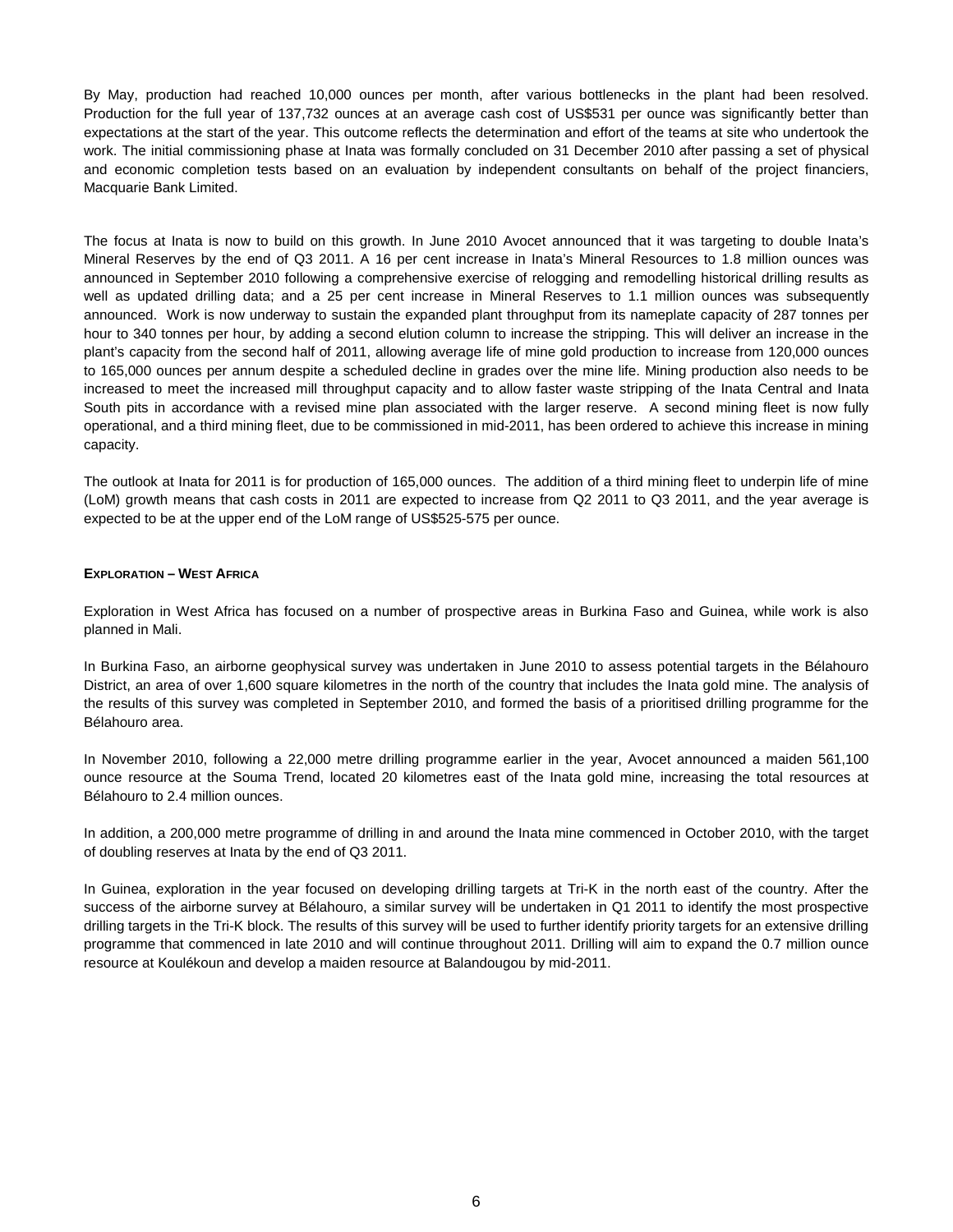By May, production had reached 10,000 ounces per month, after various bottlenecks in the plant had been resolved. Production for the full year of 137,732 ounces at an average cash cost of US\$531 per ounce was significantly better than expectations at the start of the year. This outcome reflects the determination and effort of the teams at site who undertook the work. The initial commissioning phase at Inata was formally concluded on 31 December 2010 after passing a set of physical and economic completion tests based on an evaluation by independent consultants on behalf of the project financiers, Macquarie Bank Limited.

The focus at Inata is now to build on this growth. In June 2010 Avocet announced that it was targeting to double Inata's Mineral Reserves by the end of Q3 2011. A 16 per cent increase in Inata's Mineral Resources to 1.8 million ounces was announced in September 2010 following a comprehensive exercise of relogging and remodelling historical drilling results as well as updated drilling data; and a 25 per cent increase in Mineral Reserves to 1.1 million ounces was subsequently announced. Work is now underway to sustain the expanded plant throughput from its nameplate capacity of 287 tonnes per hour to 340 tonnes per hour, by adding a second elution column to increase the stripping. This will deliver an increase in the plant's capacity from the second half of 2011, allowing average life of mine gold production to increase from 120,000 ounces to 165,000 ounces per annum despite a scheduled decline in grades over the mine life. Mining production also needs to be increased to meet the increased mill throughput capacity and to allow faster waste stripping of the Inata Central and Inata South pits in accordance with a revised mine plan associated with the larger reserve. A second mining fleet is now fully operational, and a third mining fleet, due to be commissioned in mid-2011, has been ordered to achieve this increase in mining capacity.

The outlook at Inata for 2011 is for production of 165,000 ounces. The addition of a third mining fleet to underpin life of mine (LoM) growth means that cash costs in 2011 are expected to increase from Q2 2011 to Q3 2011, and the year average is expected to be at the upper end of the LoM range of US\$525-575 per ounce.

# **EXPLORATION – WEST AFRICA**

Exploration in West Africa has focused on a number of prospective areas in Burkina Faso and Guinea, while work is also planned in Mali.

In Burkina Faso, an airborne geophysical survey was undertaken in June 2010 to assess potential targets in the Bélahouro District, an area of over 1,600 square kilometres in the north of the country that includes the Inata gold mine. The analysis of the results of this survey was completed in September 2010, and formed the basis of a prioritised drilling programme for the Bélahouro area.

In November 2010, following a 22,000 metre drilling programme earlier in the year, Avocet announced a maiden 561,100 ounce resource at the Souma Trend, located 20 kilometres east of the Inata gold mine, increasing the total resources at Bélahouro to 2.4 million ounces.

In addition, a 200,000 metre programme of drilling in and around the Inata mine commenced in October 2010, with the target of doubling reserves at Inata by the end of Q3 2011.

In Guinea, exploration in the year focused on developing drilling targets at Tri-K in the north east of the country. After the success of the airborne survey at Bélahouro, a similar survey will be undertaken in Q1 2011 to identify the most prospective drilling targets in the Tri-K block. The results of this survey will be used to further identify priority targets for an extensive drilling programme that commenced in late 2010 and will continue throughout 2011. Drilling will aim to expand the 0.7 million ounce resource at Koulékoun and develop a maiden resource at Balandougou by mid-2011.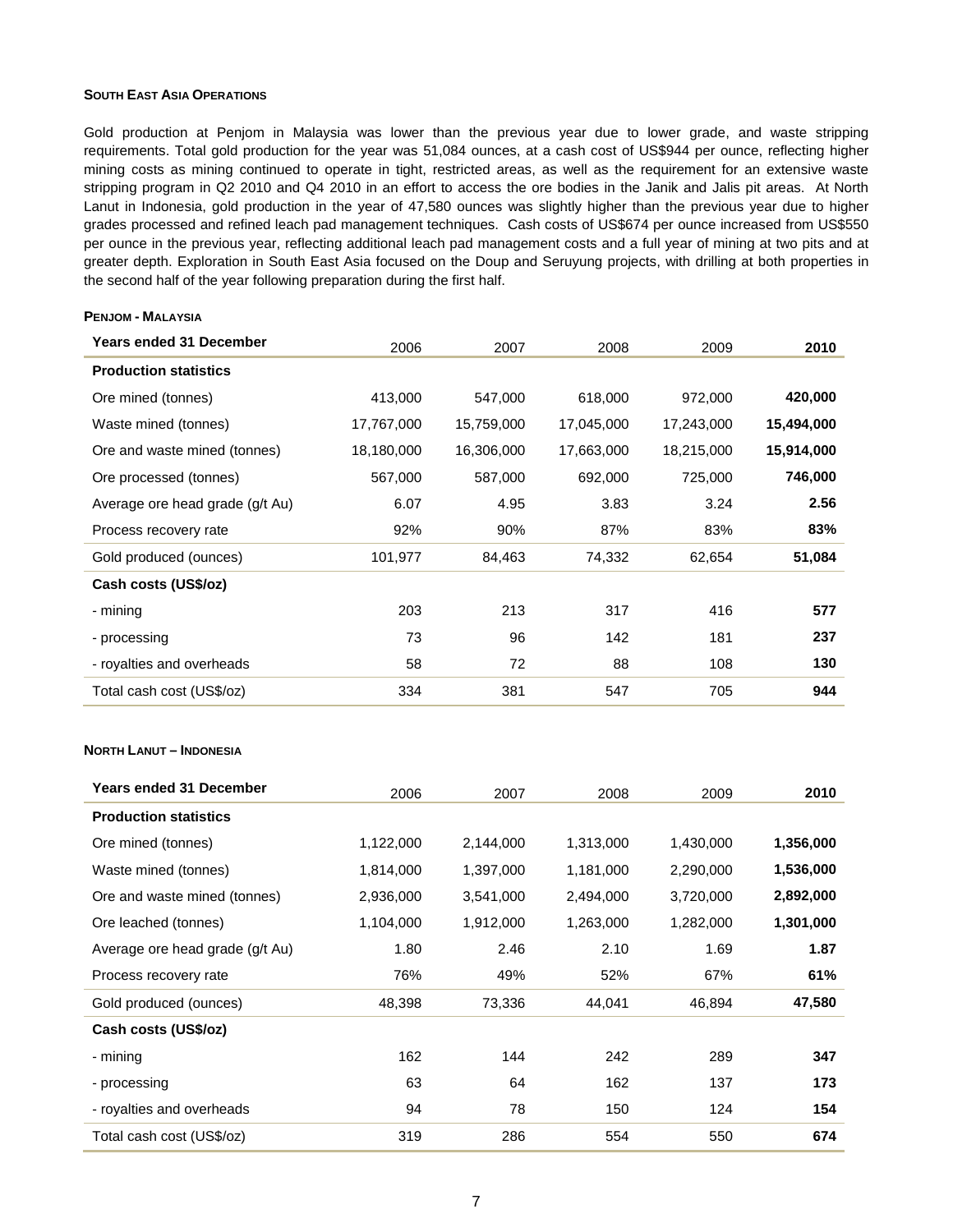### **SOUTH EAST ASIA OPERATIONS**

**PENJOM - MALAYSIA**

Gold production at Penjom in Malaysia was lower than the previous year due to lower grade, and waste stripping requirements. Total gold production for the year was 51,084 ounces, at a cash cost of US\$944 per ounce, reflecting higher mining costs as mining continued to operate in tight, restricted areas, as well as the requirement for an extensive waste stripping program in Q2 2010 and Q4 2010 in an effort to access the ore bodies in the Janik and Jalis pit areas. At North Lanut in Indonesia, gold production in the year of 47,580 ounces was slightly higher than the previous year due to higher grades processed and refined leach pad management techniques. Cash costs of US\$674 per ounce increased from US\$550 per ounce in the previous year, reflecting additional leach pad management costs and a full year of mining at two pits and at greater depth. Exploration in South East Asia focused on the Doup and Seruyung projects, with drilling at both properties in the second half of the year following preparation during the first half.

# **Years ended 31 December** 2006 2007 2008 2009 **2010 Production statistics** Ore mined (tonnes) 413,000 547,000 618,000 972,000 **420,000** Waste mined (tonnes) 17,767,000 15,759,000 17,045,000 17,243,000 **15,494,000** Ore and waste mined (tonnes) 18,180,000 16,306,000 17,663,000 18,215,000 **15,914,000** Ore processed (tonnes) 567,000 587,000 692,000 725,000 **746,000** Average ore head grade (g/t Au) 6.07 4.95 3.83 3.24 2.56 Process recovery rate 92% 90% 87% 83% **83%** Gold produced (ounces) 101,977 84,463 74,332 62,654 **51,084 Cash costs (US\$/oz)** - mining 203 213 317 416 **577** - processing 73 96 142 181 **237** - royalties and overheads 58 72 88 108 **130** Total cash cost (US\$/oz) 334 381 547 705 **944**

# **NORTH LANUT – INDONESIA**

| <b>Years ended 31 December</b>  | 2006      | 2007      | 2008      | 2009      | 2010      |
|---------------------------------|-----------|-----------|-----------|-----------|-----------|
| <b>Production statistics</b>    |           |           |           |           |           |
| Ore mined (tonnes)              | 1,122,000 | 2,144,000 | 1,313,000 | 1,430,000 | 1,356,000 |
| Waste mined (tonnes)            | 1,814,000 | 1,397,000 | 1,181,000 | 2,290,000 | 1,536,000 |
| Ore and waste mined (tonnes)    | 2,936,000 | 3,541,000 | 2,494,000 | 3,720,000 | 2,892,000 |
| Ore leached (tonnes)            | 1,104,000 | 1,912,000 | 1,263,000 | 1,282,000 | 1,301,000 |
| Average ore head grade (g/t Au) | 1.80      | 2.46      | 2.10      | 1.69      | 1.87      |
| Process recovery rate           | 76%       | 49%       | 52%       | 67%       | 61%       |
| Gold produced (ounces)          | 48,398    | 73,336    | 44,041    | 46,894    | 47,580    |
| Cash costs (US\$/oz)            |           |           |           |           |           |
| - mining                        | 162       | 144       | 242       | 289       | 347       |
| - processing                    | 63        | 64        | 162       | 137       | 173       |
| - royalties and overheads       | 94        | 78        | 150       | 124       | 154       |
| Total cash cost (US\$/oz)       | 319       | 286       | 554       | 550       | 674       |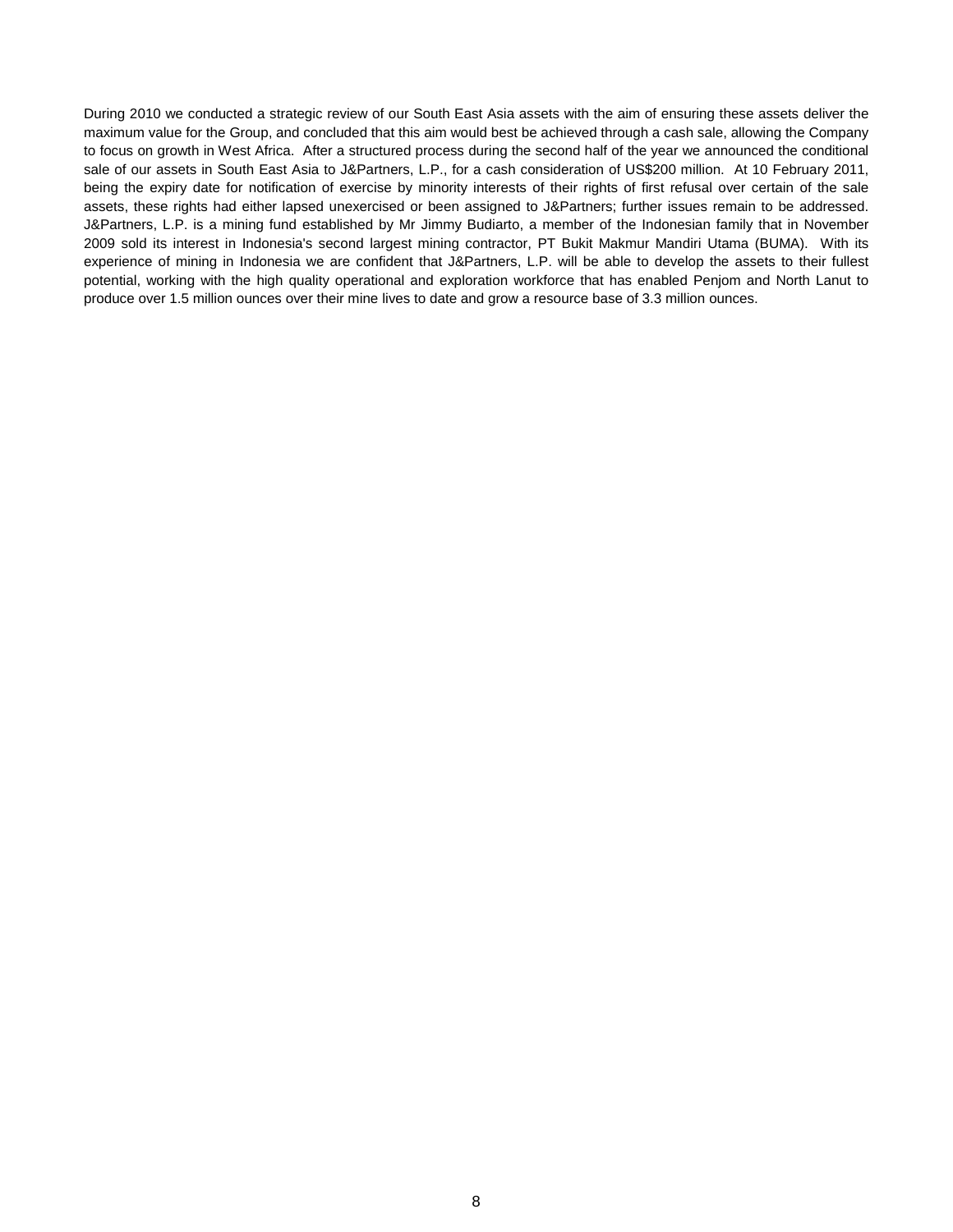During 2010 we conducted a strategic review of our South East Asia assets with the aim of ensuring these assets deliver the maximum value for the Group, and concluded that this aim would best be achieved through a cash sale, allowing the Company to focus on growth in West Africa. After a structured process during the second half of the year we announced the conditional sale of our assets in South East Asia to J&Partners, L.P., for a cash consideration of US\$200 million. At 10 February 2011, being the expiry date for notification of exercise by minority interests of their rights of first refusal over certain of the sale assets, these rights had either lapsed unexercised or been assigned to J&Partners; further issues remain to be addressed. J&Partners, L.P. is a mining fund established by Mr Jimmy Budiarto, a member of the Indonesian family that in November 2009 sold its interest in Indonesia's second largest mining contractor, PT Bukit Makmur Mandiri Utama (BUMA). With its experience of mining in Indonesia we are confident that J&Partners, L.P. will be able to develop the assets to their fullest potential, working with the high quality operational and exploration workforce that has enabled Penjom and North Lanut to produce over 1.5 million ounces over their mine lives to date and grow a resource base of 3.3 million ounces.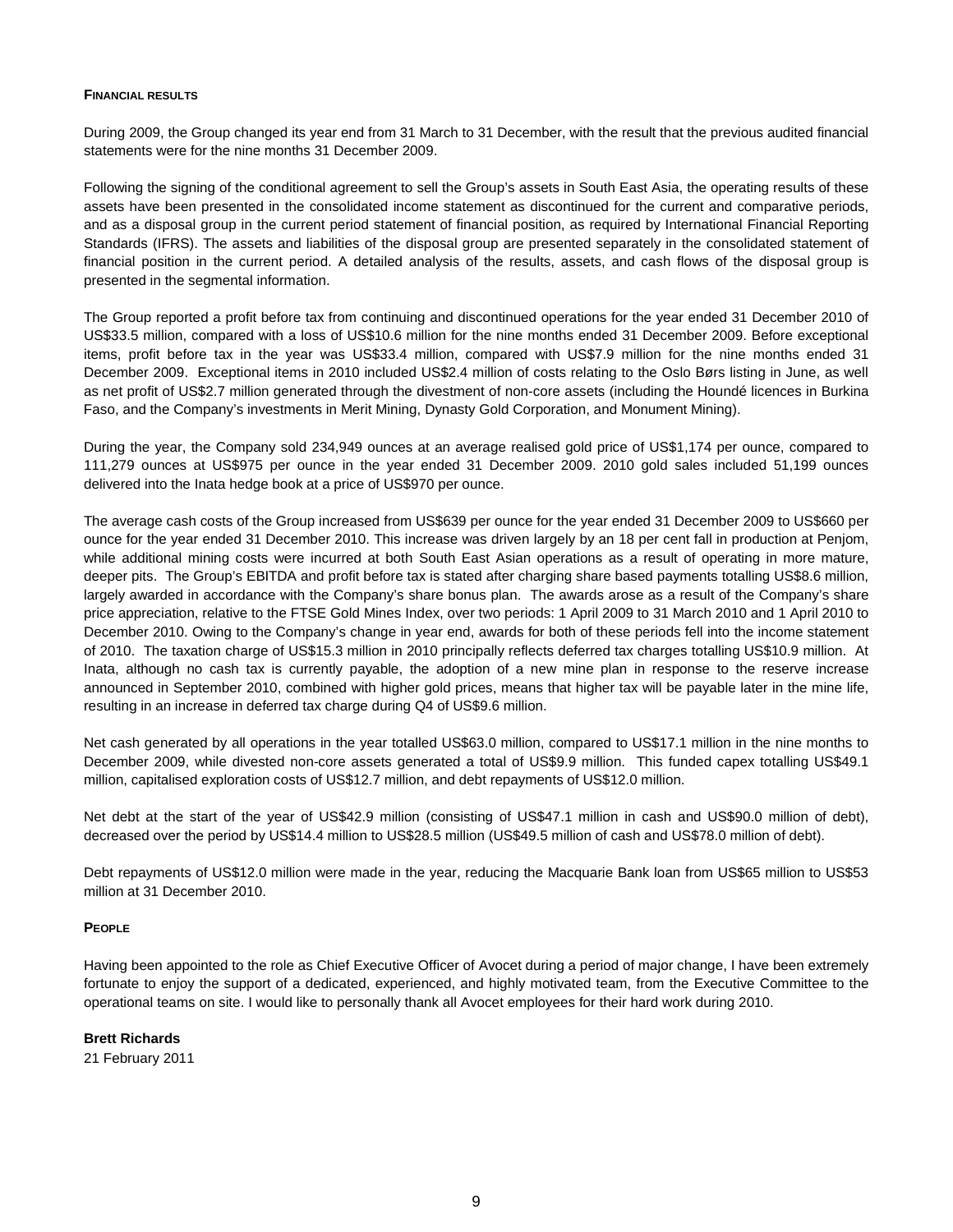## **FINANCIAL RESULTS**

During 2009, the Group changed its year end from 31 March to 31 December, with the result that the previous audited financial statements were for the nine months 31 December 2009.

Following the signing of the conditional agreement to sell the Group's assets in South East Asia, the operating results of these assets have been presented in the consolidated income statement as discontinued for the current and comparative periods, and as a disposal group in the current period statement of financial position, as required by International Financial Reporting Standards (IFRS). The assets and liabilities of the disposal group are presented separately in the consolidated statement of financial position in the current period. A detailed analysis of the results, assets, and cash flows of the disposal group is presented in the segmental information.

The Group reported a profit before tax from continuing and discontinued operations for the year ended 31 December 2010 of US\$33.5 million, compared with a loss of US\$10.6 million for the nine months ended 31 December 2009. Before exceptional items, profit before tax in the year was US\$33.4 million, compared with US\$7.9 million for the nine months ended 31 December 2009. Exceptional items in 2010 included US\$2.4 million of costs relating to the Oslo Børs listing in June, as well as net profit of US\$2.7 million generated through the divestment of non-core assets (including the Houndé licences in Burkina Faso, and the Company's investments in Merit Mining, Dynasty Gold Corporation, and Monument Mining).

During the year, the Company sold 234,949 ounces at an average realised gold price of US\$1,174 per ounce, compared to 111,279 ounces at US\$975 per ounce in the year ended 31 December 2009. 2010 gold sales included 51,199 ounces delivered into the Inata hedge book at a price of US\$970 per ounce.

The average cash costs of the Group increased from US\$639 per ounce for the year ended 31 December 2009 to US\$660 per ounce for the year ended 31 December 2010. This increase was driven largely by an 18 per cent fall in production at Penjom, while additional mining costs were incurred at both South East Asian operations as a result of operating in more mature, deeper pits. The Group's EBITDA and profit before tax is stated after charging share based payments totalling US\$8.6 million, largely awarded in accordance with the Company's share bonus plan. The awards arose as a result of the Company's share price appreciation, relative to the FTSE Gold Mines Index, over two periods: 1 April 2009 to 31 March 2010 and 1 April 2010 to December 2010. Owing to the Company's change in year end, awards for both of these periods fell into the income statement of 2010. The taxation charge of US\$15.3 million in 2010 principally reflects deferred tax charges totalling US\$10.9 million. At Inata, although no cash tax is currently payable, the adoption of a new mine plan in response to the reserve increase announced in September 2010, combined with higher gold prices, means that higher tax will be payable later in the mine life, resulting in an increase in deferred tax charge during Q4 of US\$9.6 million.

Net cash generated by all operations in the year totalled US\$63.0 million, compared to US\$17.1 million in the nine months to December 2009, while divested non-core assets generated a total of US\$9.9 million. This funded capex totalling US\$49.1 million, capitalised exploration costs of US\$12.7 million, and debt repayments of US\$12.0 million.

Net debt at the start of the year of US\$42.9 million (consisting of US\$47.1 million in cash and US\$90.0 million of debt), decreased over the period by US\$14.4 million to US\$28.5 million (US\$49.5 million of cash and US\$78.0 million of debt).

Debt repayments of US\$12.0 million were made in the year, reducing the Macquarie Bank loan from US\$65 million to US\$53 million at 31 December 2010.

# **PEOPLE**

Having been appointed to the role as Chief Executive Officer of Avocet during a period of major change, I have been extremely fortunate to enjoy the support of a dedicated, experienced, and highly motivated team, from the Executive Committee to the operational teams on site. I would like to personally thank all Avocet employees for their hard work during 2010.

# **Brett Richards**

21 February 2011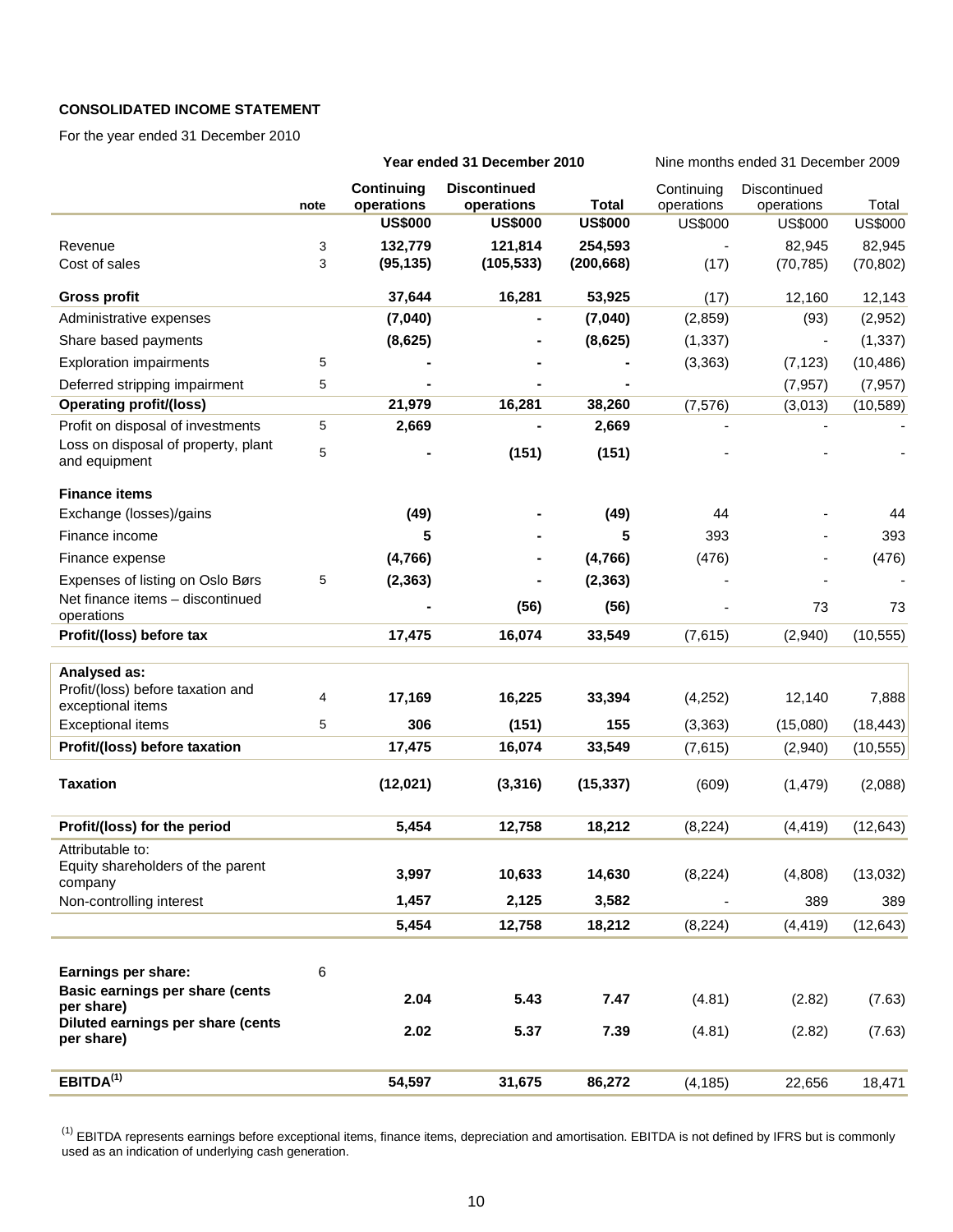# **CONSOLIDATED INCOME STATEMENT**

For the year ended 31 December 2010

|                                                      |      |                                 | Year ended 31 December 2010       |                | Nine months ended 31 December 2009 |                            |                |  |
|------------------------------------------------------|------|---------------------------------|-----------------------------------|----------------|------------------------------------|----------------------------|----------------|--|
|                                                      | note | <b>Continuing</b><br>operations | <b>Discontinued</b><br>operations | <b>Total</b>   | Continuing<br>operations           | Discontinued<br>operations | Total          |  |
|                                                      |      | <b>US\$000</b>                  | <b>US\$000</b>                    | <b>US\$000</b> | <b>US\$000</b>                     | <b>US\$000</b>             | <b>US\$000</b> |  |
| Revenue                                              | 3    | 132,779                         | 121,814                           | 254,593        |                                    | 82,945                     | 82,945         |  |
| Cost of sales                                        | 3    | (95, 135)                       | (105, 533)                        | (200, 668)     | (17)                               | (70, 785)                  | (70, 802)      |  |
| <b>Gross profit</b>                                  |      | 37,644                          | 16,281                            | 53,925         | (17)                               | 12,160                     | 12,143         |  |
| Administrative expenses                              |      | (7,040)                         |                                   | (7,040)        | (2,859)                            | (93)                       | (2,952)        |  |
| Share based payments                                 |      | (8,625)                         |                                   | (8,625)        | (1, 337)                           | $\overline{\phantom{a}}$   | (1, 337)       |  |
| <b>Exploration impairments</b>                       | 5    |                                 |                                   |                | (3,363)                            | (7, 123)                   | (10, 486)      |  |
| Deferred stripping impairment                        | 5    |                                 |                                   |                |                                    | (7, 957)                   | (7, 957)       |  |
| <b>Operating profit/(loss)</b>                       |      | 21,979                          | 16,281                            | 38,260         | (7, 576)                           | (3,013)                    | (10, 589)      |  |
| Profit on disposal of investments                    | 5    | 2,669                           |                                   | 2,669          |                                    |                            |                |  |
| Loss on disposal of property, plant<br>and equipment | 5    |                                 | (151)                             | (151)          |                                    |                            |                |  |
| <b>Finance items</b>                                 |      |                                 |                                   |                |                                    |                            |                |  |
| Exchange (losses)/gains                              |      | (49)                            |                                   | (49)           | 44                                 |                            | 44             |  |
| Finance income                                       |      | 5                               |                                   | 5              | 393                                |                            | 393            |  |
| Finance expense                                      |      | (4,766)                         |                                   | (4,766)        | (476)                              |                            | (476)          |  |
| Expenses of listing on Oslo Børs                     | 5    | (2, 363)                        |                                   | (2, 363)       |                                    |                            |                |  |
| Net finance items - discontinued<br>operations       |      |                                 | (56)                              | (56)           |                                    | 73                         | 73             |  |
| Profit/(loss) before tax                             |      | 17,475                          | 16,074                            | 33,549         | (7,615)                            | (2,940)                    | (10, 555)      |  |
| Analysed as:                                         |      |                                 |                                   |                |                                    |                            |                |  |
| Profit/(loss) before taxation and                    | 4    |                                 |                                   |                |                                    |                            |                |  |
| exceptional items                                    |      | 17,169                          | 16,225                            | 33,394         | (4,252)                            | 12,140                     | 7,888          |  |
| <b>Exceptional items</b>                             | 5    | 306                             | (151)                             | 155            | (3,363)                            | (15,080)                   | (18, 443)      |  |
| Profit/(loss) before taxation                        |      | 17,475                          | 16,074                            | 33,549         | (7,615)                            | (2,940)                    | (10, 555)      |  |
| <b>Taxation</b>                                      |      | (12,021)                        | (3, 316)                          | (15, 337)      | (609)                              | (1, 479)                   | (2,088)        |  |
| Profit/(loss) for the period                         |      | 5,454                           | 12,758                            | 18,212         | (8, 224)                           | (4, 419)                   | (12, 643)      |  |
| Attributable to:                                     |      |                                 |                                   |                |                                    |                            |                |  |
| Equity shareholders of the parent<br>company         |      | 3,997                           | 10,633                            | 14,630         | (8, 224)                           | (4,808)                    | (13,032)       |  |
| Non-controlling interest                             |      | 1,457                           | 2,125                             | 3,582          |                                    | 389                        | 389            |  |
|                                                      |      | 5,454                           | 12,758                            | 18,212         | (8, 224)                           | (4, 419)                   | (12, 643)      |  |
|                                                      |      |                                 |                                   |                |                                    |                            |                |  |
| Earnings per share:                                  | 6    |                                 |                                   |                |                                    |                            |                |  |
| Basic earnings per share (cents<br>per share)        |      | 2.04                            | 5.43                              | 7.47           | (4.81)                             | (2.82)                     | (7.63)         |  |
| Diluted earnings per share (cents<br>per share)      |      | 2.02                            | 5.37                              | 7.39           | (4.81)                             | (2.82)                     | (7.63)         |  |
| EBITDA <sup>(1)</sup>                                |      | 54,597                          | 31,675                            | 86,272         | (4, 185)                           | 22,656                     | 18,471         |  |
|                                                      |      |                                 |                                   |                |                                    |                            |                |  |

<sup>(1)</sup> EBITDA represents earnings before exceptional items, finance items, depreciation and amortisation. EBITDA is not defined by IFRS but is commonly used as an indication of underlying cash generation.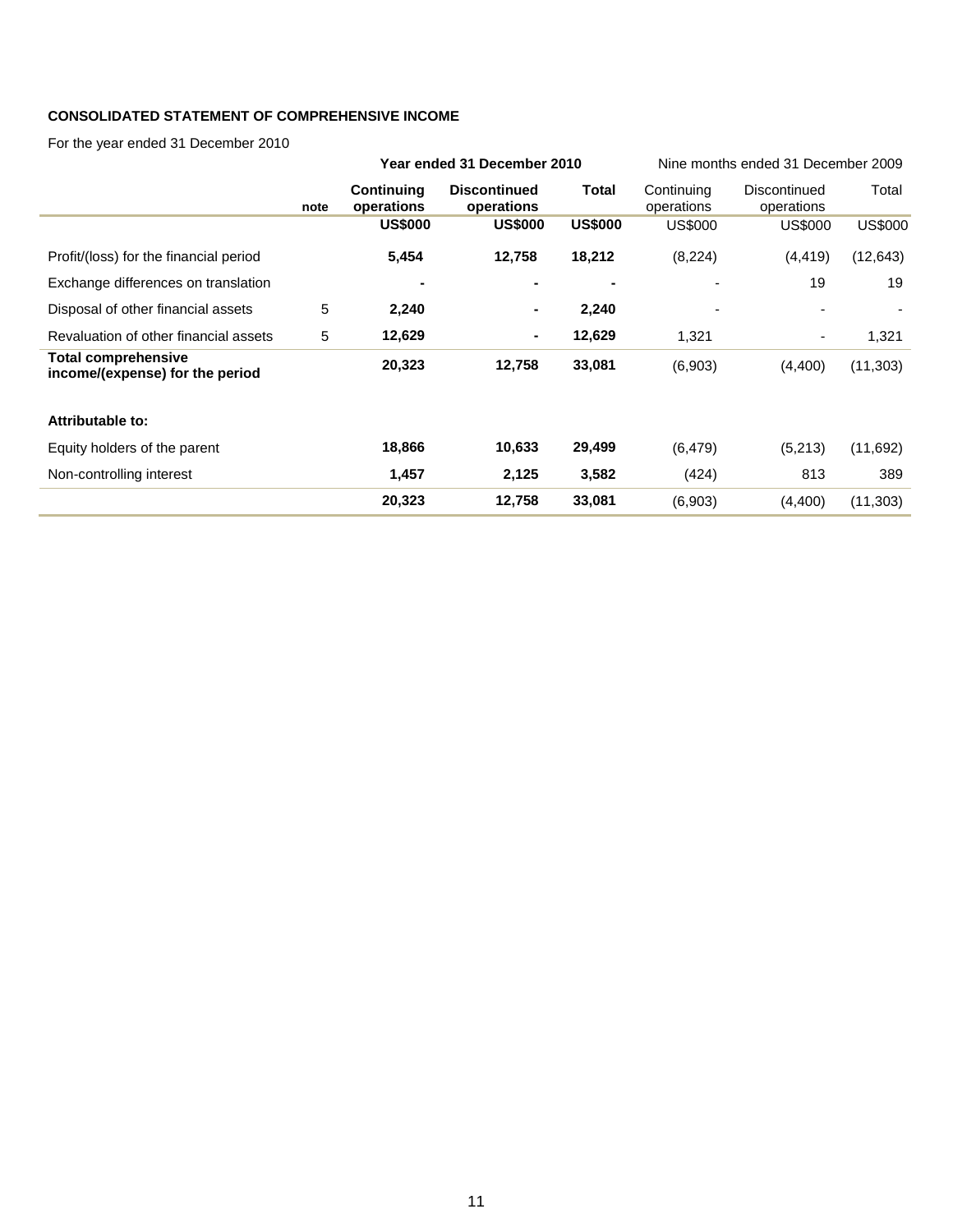# **CONSOLIDATED STATEMENT OF COMPREHENSIVE INCOME**

For the year ended 31 December 2010

|                                                               |      |                                 | Year ended 31 December 2010       |                | Nine months ended 31 December 2009 |                            |                |
|---------------------------------------------------------------|------|---------------------------------|-----------------------------------|----------------|------------------------------------|----------------------------|----------------|
|                                                               | note | <b>Continuing</b><br>operations | <b>Discontinued</b><br>operations | Total          | Continuing<br>operations           | Discontinued<br>operations | Total          |
|                                                               |      | <b>US\$000</b>                  | <b>US\$000</b>                    | <b>US\$000</b> | US\$000                            | US\$000                    | <b>US\$000</b> |
| Profit/(loss) for the financial period                        |      | 5,454                           | 12,758                            | 18,212         | (8, 224)                           | (4, 419)                   | (12, 643)      |
| Exchange differences on translation                           |      | ۰                               | -                                 | $\blacksquare$ |                                    | 19                         | 19             |
| Disposal of other financial assets                            | 5    | 2,240                           |                                   | 2,240          |                                    |                            |                |
| Revaluation of other financial assets                         | 5    | 12,629                          | ۰.                                | 12,629         | 1,321                              | ٠                          | 1,321          |
| <b>Total comprehensive</b><br>income/(expense) for the period |      | 20,323                          | 12,758                            | 33,081         | (6,903)                            | (4,400)                    | (11, 303)      |
| Attributable to:                                              |      |                                 |                                   |                |                                    |                            |                |
| Equity holders of the parent                                  |      | 18,866                          | 10,633                            | 29,499         | (6, 479)                           | (5,213)                    | (11,692)       |
| Non-controlling interest                                      |      | 1,457                           | 2,125                             | 3,582          | (424)                              | 813                        | 389            |
|                                                               |      | 20,323                          | 12,758                            | 33,081         | (6,903)                            | (4,400)                    | (11, 303)      |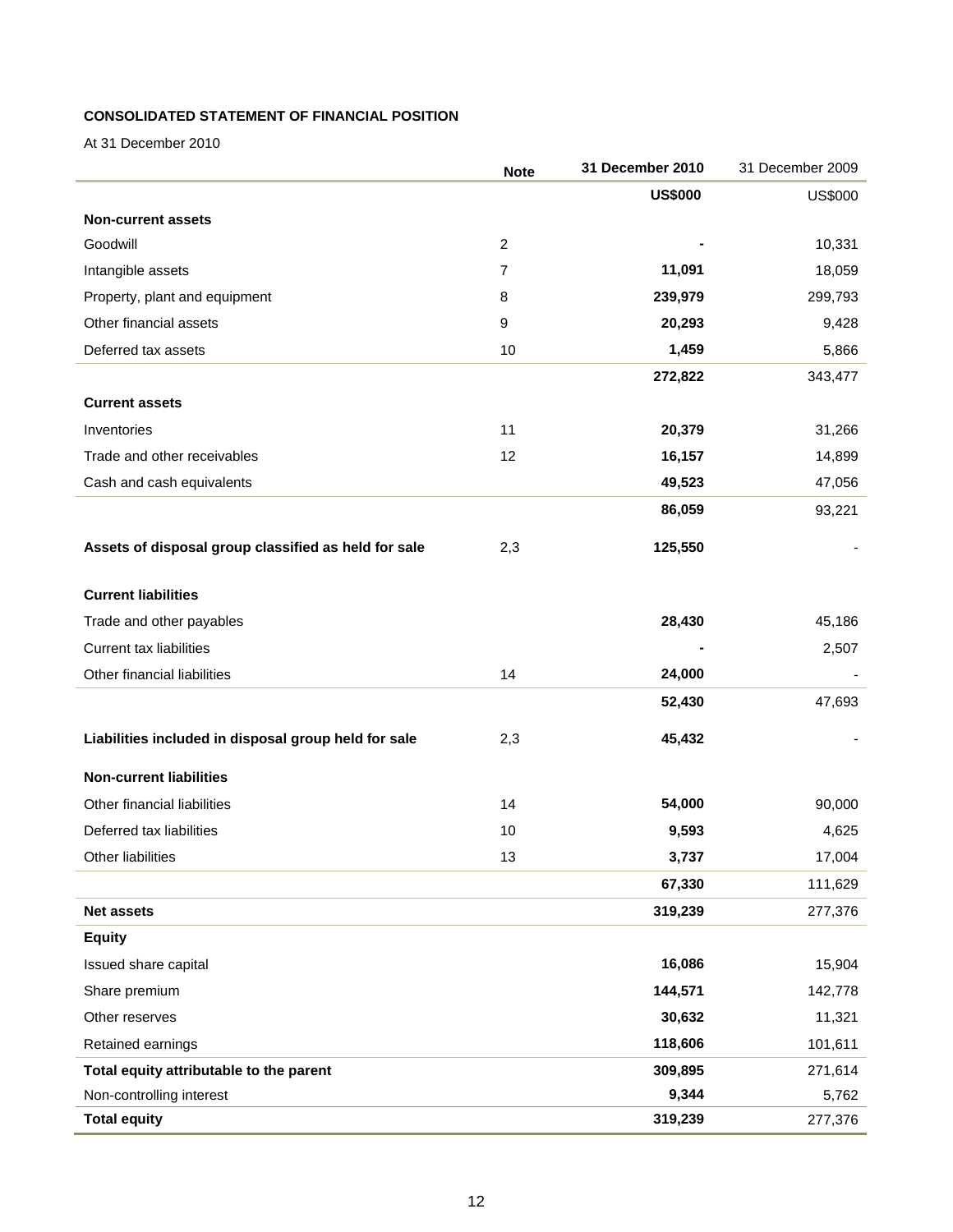# **CONSOLIDATED STATEMENT OF FINANCIAL POSITION**

At 31 December 2010

|                                                      | <b>Note</b>    | 31 December 2010 | 31 December 2009 |
|------------------------------------------------------|----------------|------------------|------------------|
|                                                      |                | <b>US\$000</b>   | <b>US\$000</b>   |
| <b>Non-current assets</b>                            |                |                  |                  |
| Goodwill                                             | $\overline{2}$ |                  | 10,331           |
| Intangible assets                                    | 7              | 11,091           | 18,059           |
| Property, plant and equipment                        | 8              | 239,979          | 299,793          |
| Other financial assets                               | 9              | 20,293           | 9,428            |
| Deferred tax assets                                  | 10             | 1,459            | 5,866            |
|                                                      |                | 272,822          | 343,477          |
| <b>Current assets</b>                                |                |                  |                  |
| Inventories                                          | 11             | 20,379           | 31,266           |
| Trade and other receivables                          | 12             | 16,157           | 14,899           |
| Cash and cash equivalents                            |                | 49,523           | 47,056           |
|                                                      |                | 86,059           | 93,221           |
| Assets of disposal group classified as held for sale | 2,3            | 125,550          |                  |
|                                                      |                |                  |                  |
| <b>Current liabilities</b>                           |                |                  |                  |
| Trade and other payables                             |                | 28,430           | 45,186           |
| <b>Current tax liabilities</b>                       |                |                  | 2,507            |
| Other financial liabilities                          | 14             | 24,000           |                  |
|                                                      |                | 52,430           | 47,693           |
| Liabilities included in disposal group held for sale | 2,3            | 45,432           |                  |
| <b>Non-current liabilities</b>                       |                |                  |                  |
| Other financial liabilities                          | 14             | 54,000           | 90,000           |
| Deferred tax liabilities                             | 10             | 9,593            | 4,625            |
| Other liabilities                                    | 13             | 3,737            | 17,004           |
|                                                      |                | 67,330           | 111,629          |
| Net assets                                           |                | 319,239          | 277,376          |
| <b>Equity</b>                                        |                |                  |                  |
| Issued share capital                                 |                | 16,086           | 15,904           |
| Share premium                                        |                | 144,571          | 142,778          |
| Other reserves                                       |                | 30,632           | 11,321           |
| Retained earnings                                    |                | 118,606          | 101,611          |
| Total equity attributable to the parent              |                | 309,895          | 271,614          |
| Non-controlling interest                             |                | 9,344            | 5,762            |
| <b>Total equity</b>                                  |                | 319,239          | 277,376          |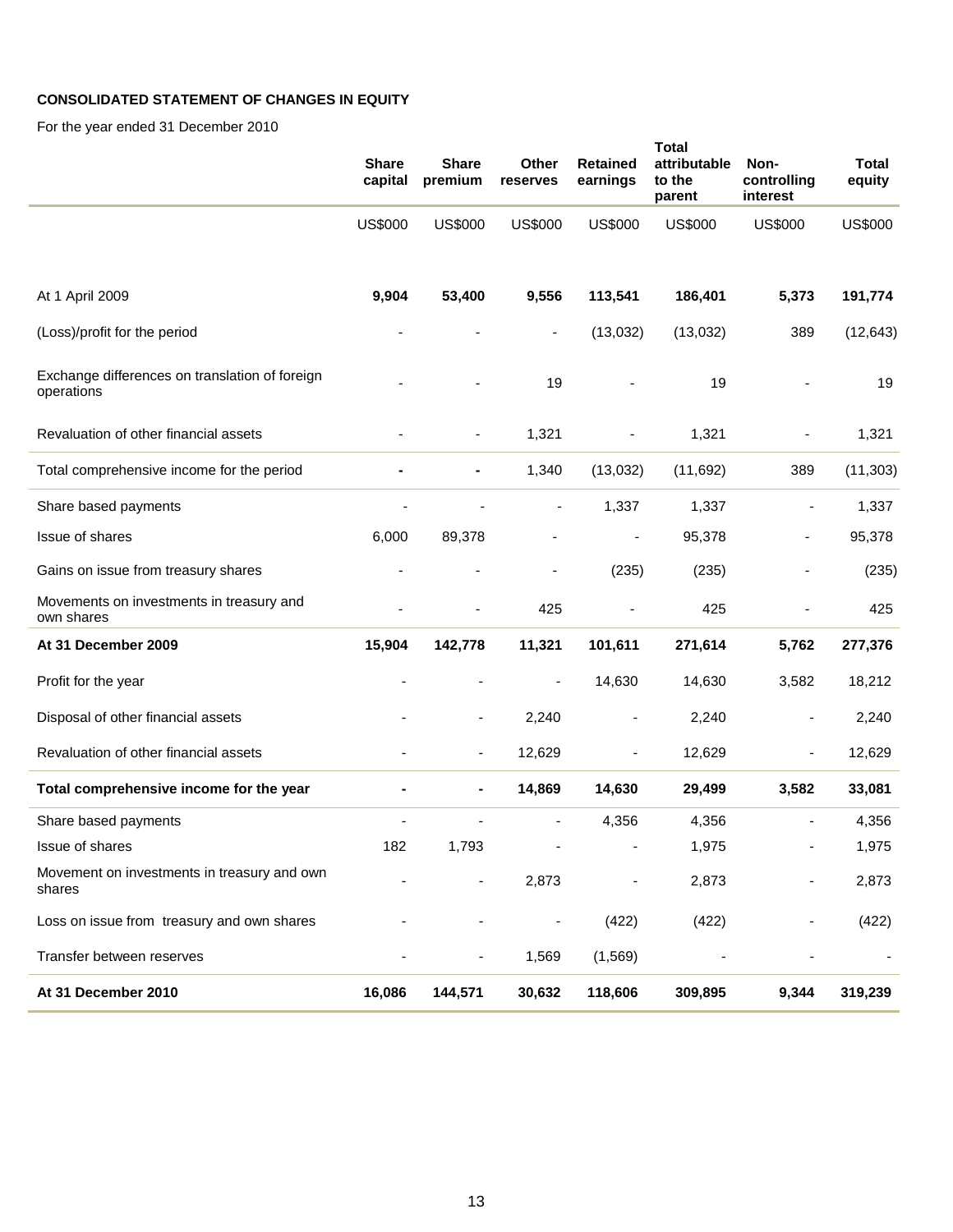# **CONSOLIDATED STATEMENT OF CHANGES IN EQUITY**

For the year ended 31 December 2010

|                                                              | <b>Share</b><br>capital | <b>Share</b><br>premium      | Other<br>reserves            | <b>Retained</b><br>earnings | <b>Total</b><br>attributable<br>to the<br>parent | Non-<br>controlling<br>interest | <b>Total</b><br>equity |
|--------------------------------------------------------------|-------------------------|------------------------------|------------------------------|-----------------------------|--------------------------------------------------|---------------------------------|------------------------|
|                                                              | <b>US\$000</b>          | <b>US\$000</b>               | <b>US\$000</b>               | <b>US\$000</b>              | <b>US\$000</b>                                   | <b>US\$000</b>                  | <b>US\$000</b>         |
| At 1 April 2009                                              | 9,904                   | 53,400                       | 9,556                        | 113,541                     | 186,401                                          | 5,373                           | 191,774                |
| (Loss)/profit for the period                                 |                         |                              | $\qquad \qquad \blacksquare$ | (13,032)                    | (13,032)                                         | 389                             | (12, 643)              |
| Exchange differences on translation of foreign<br>operations |                         |                              | 19                           |                             | 19                                               |                                 | 19                     |
| Revaluation of other financial assets                        |                         | $\qquad \qquad \blacksquare$ | 1,321                        |                             | 1,321                                            |                                 | 1,321                  |
| Total comprehensive income for the period                    |                         |                              | 1,340                        | (13,032)                    | (11, 692)                                        | 389                             | (11, 303)              |
| Share based payments                                         |                         |                              | $\overline{\phantom{a}}$     | 1,337                       | 1,337                                            | ÷,                              | 1,337                  |
| Issue of shares                                              | 6,000                   | 89,378                       | $\overline{a}$               | $\overline{\phantom{a}}$    | 95,378                                           |                                 | 95,378                 |
| Gains on issue from treasury shares                          |                         |                              |                              | (235)                       | (235)                                            |                                 | (235)                  |
| Movements on investments in treasury and<br>own shares       |                         |                              | 425                          |                             | 425                                              |                                 | 425                    |
| At 31 December 2009                                          | 15,904                  | 142,778                      | 11,321                       | 101,611                     | 271,614                                          | 5,762                           | 277,376                |
| Profit for the year                                          |                         |                              |                              | 14,630                      | 14,630                                           | 3,582                           | 18,212                 |
| Disposal of other financial assets                           |                         |                              | 2,240                        |                             | 2,240                                            |                                 | 2,240                  |
| Revaluation of other financial assets                        |                         |                              | 12,629                       | $\overline{\phantom{a}}$    | 12,629                                           |                                 | 12,629                 |
| Total comprehensive income for the year                      |                         | ۰                            | 14,869                       | 14,630                      | 29,499                                           | 3,582                           | 33,081                 |
| Share based payments                                         |                         |                              | ÷                            | 4,356                       | 4,356                                            | $\overline{\phantom{a}}$        | 4,356                  |
| Issue of shares                                              | 182                     | 1,793                        |                              |                             | 1,975                                            |                                 | 1,975                  |
| Movement on investments in treasury and own<br>shares        |                         |                              | 2,873                        |                             | 2,873                                            |                                 | 2,873                  |
| Loss on issue from treasury and own shares                   |                         |                              |                              | (422)                       | (422)                                            |                                 | (422)                  |
| Transfer between reserves                                    |                         |                              | 1,569                        | (1, 569)                    |                                                  |                                 |                        |
| At 31 December 2010                                          | 16,086                  | 144,571                      | 30,632                       | 118,606                     | 309,895                                          | 9,344                           | 319,239                |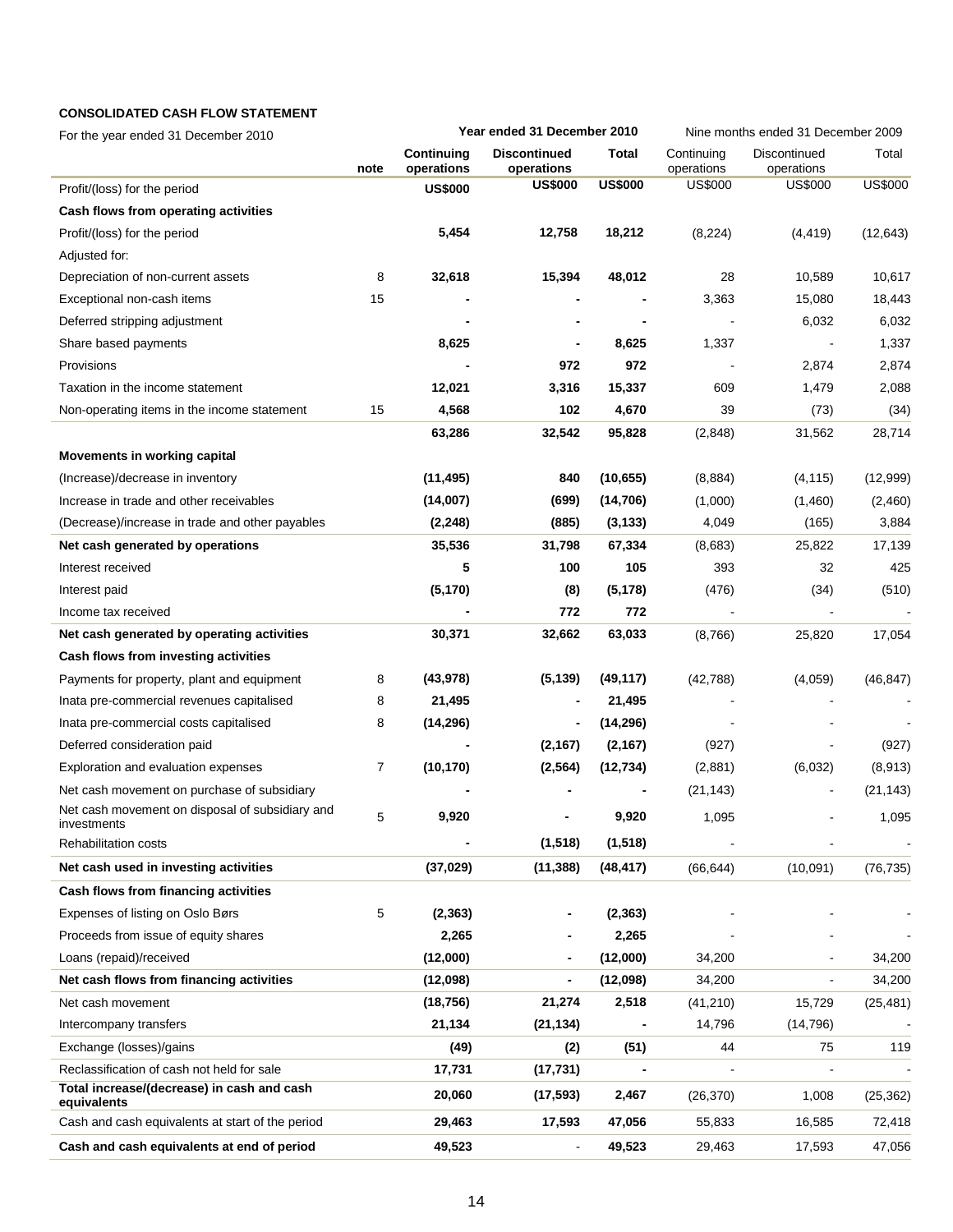# **CONSOLIDATED CASH FLOW STATEMENT**

| For the year ended 31 December 2010                       |      |                          | Year ended 31 December 2010       |                |                          | Nine months ended 31 December 2009 |                |  |
|-----------------------------------------------------------|------|--------------------------|-----------------------------------|----------------|--------------------------|------------------------------------|----------------|--|
|                                                           | note | Continuing<br>operations | <b>Discontinued</b><br>operations | <b>Total</b>   | Continuing<br>operations | Discontinued<br>operations         | Total          |  |
| Profit/(loss) for the period                              |      | <b>US\$000</b>           | <b>US\$000</b>                    | <b>US\$000</b> | <b>US\$000</b>           | <b>US\$000</b>                     | <b>US\$000</b> |  |
| Cash flows from operating activities                      |      |                          |                                   |                |                          |                                    |                |  |
| Profit/(loss) for the period                              |      | 5,454                    | 12,758                            | 18,212         | (8, 224)                 | (4, 419)                           | (12, 643)      |  |
| Adjusted for:                                             |      |                          |                                   |                |                          |                                    |                |  |
| Depreciation of non-current assets                        | 8    | 32,618                   | 15,394                            | 48,012         | 28                       | 10,589                             | 10,617         |  |
| Exceptional non-cash items                                | 15   |                          |                                   |                | 3,363                    | 15,080                             | 18,443         |  |
| Deferred stripping adjustment                             |      |                          |                                   |                |                          | 6,032                              | 6,032          |  |
| Share based payments                                      |      | 8,625                    |                                   | 8,625          | 1,337                    |                                    | 1,337          |  |
| Provisions                                                |      |                          | 972                               | 972            |                          | 2,874                              | 2,874          |  |
| Taxation in the income statement                          |      | 12,021                   | 3,316                             | 15,337         | 609                      | 1,479                              | 2,088          |  |
| Non-operating items in the income statement               | 15   | 4,568                    | 102                               | 4,670          | 39                       | (73)                               | (34)           |  |
|                                                           |      | 63,286                   | 32,542                            | 95,828         | (2,848)                  | 31,562                             | 28,714         |  |
| Movements in working capital                              |      |                          |                                   |                |                          |                                    |                |  |
| (Increase)/decrease in inventory                          |      | (11, 495)                | 840                               | (10, 655)      | (8,884)                  | (4, 115)                           | (12,999)       |  |
| Increase in trade and other receivables                   |      | (14,007)                 | (699)                             | (14, 706)      | (1,000)                  | (1,460)                            | (2,460)        |  |
| (Decrease)/increase in trade and other payables           |      | (2, 248)                 | (885)                             | (3, 133)       | 4,049                    | (165)                              | 3,884          |  |
| Net cash generated by operations                          |      | 35,536                   | 31,798                            | 67,334         | (8,683)                  | 25,822                             | 17,139         |  |
| Interest received                                         |      | 5                        | 100                               | 105            | 393                      | 32                                 | 425            |  |
| Interest paid                                             |      | (5, 170)                 | (8)                               | (5, 178)       | (476)                    | (34)                               | (510)          |  |
| Income tax received                                       |      |                          | 772                               | 772            |                          |                                    |                |  |
| Net cash generated by operating activities                |      | 30,371                   | 32,662                            | 63,033         | (8,766)                  | 25,820                             | 17,054         |  |
| Cash flows from investing activities                      |      |                          |                                   |                |                          |                                    |                |  |
| Payments for property, plant and equipment                | 8    | (43, 978)                | (5, 139)                          | (49, 117)      | (42, 788)                | (4,059)                            | (46, 847)      |  |
| Inata pre-commercial revenues capitalised                 | 8    | 21,495                   |                                   | 21,495         |                          |                                    |                |  |
| Inata pre-commercial costs capitalised                    | 8    | (14, 296)                |                                   | (14, 296)      |                          |                                    |                |  |
| Deferred consideration paid                               |      |                          | (2, 167)                          | (2, 167)       | (927)                    |                                    | (927)          |  |
| Exploration and evaluation expenses                       | 7    | (10, 170)                | (2, 564)                          | (12, 734)      | (2,881)                  | (6,032)                            | (8,913)        |  |
| Net cash movement on purchase of subsidiary               |      |                          |                                   |                | (21, 143)                |                                    | (21, 143)      |  |
| Net cash movement on disposal of subsidiary and           | 5    | 9,920                    |                                   | 9,920          | 1,095                    |                                    | 1,095          |  |
| investments                                               |      |                          |                                   |                |                          |                                    |                |  |
| <b>Rehabilitation costs</b>                               |      |                          | (1, 518)                          | (1, 518)       |                          |                                    |                |  |
| Net cash used in investing activities                     |      | (37, 029)                | (11, 388)                         | (48, 417)      | (66, 644)                | (10,091)                           | (76, 735)      |  |
| Cash flows from financing activities                      |      |                          |                                   |                |                          |                                    |                |  |
| Expenses of listing on Oslo Børs                          | 5    | (2, 363)                 |                                   | (2, 363)       |                          |                                    |                |  |
| Proceeds from issue of equity shares                      |      | 2,265                    |                                   | 2,265          |                          |                                    |                |  |
| Loans (repaid)/received                                   |      | (12,000)                 |                                   | (12,000)       | 34,200                   |                                    | 34,200         |  |
| Net cash flows from financing activities                  |      | (12,098)                 | $\blacksquare$                    | (12,098)       | 34,200                   |                                    | 34,200         |  |
| Net cash movement                                         |      | (18, 756)                | 21,274                            | 2,518          | (41, 210)                | 15,729                             | (25, 481)      |  |
| Intercompany transfers                                    |      | 21,134                   | (21, 134)                         |                | 14,796                   | (14, 796)                          |                |  |
| Exchange (losses)/gains                                   |      | (49)                     | (2)                               | (51)           | 44                       | 75                                 | 119            |  |
| Reclassification of cash not held for sale                |      | 17,731                   | (17, 731)                         |                |                          |                                    |                |  |
| Total increase/(decrease) in cash and cash<br>equivalents |      | 20,060                   | (17, 593)                         | 2,467          | (26, 370)                | 1,008                              | (25, 362)      |  |
| Cash and cash equivalents at start of the period          |      | 29,463                   | 17,593                            | 47,056         | 55,833                   | 16,585                             | 72,418         |  |
| Cash and cash equivalents at end of period                |      | 49,523                   |                                   | 49,523         | 29,463                   | 17,593                             | 47,056         |  |
|                                                           |      |                          |                                   |                |                          |                                    |                |  |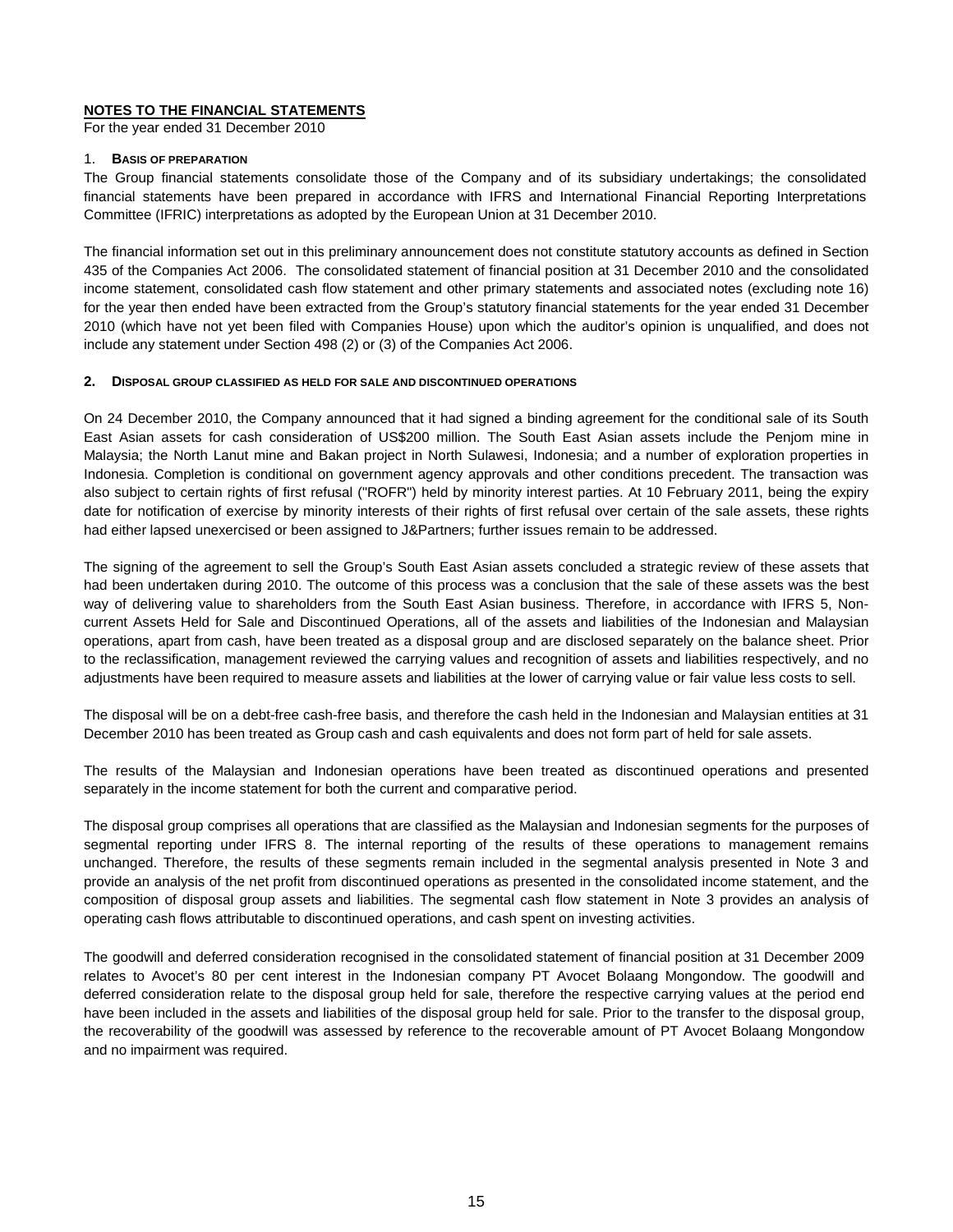# **NOTES TO THE FINANCIAL STATEMENTS**

For the year ended 31 December 2010

## 1. **BASIS OF PREPARATION**

The Group financial statements consolidate those of the Company and of its subsidiary undertakings; the consolidated financial statements have been prepared in accordance with IFRS and International Financial Reporting Interpretations Committee (IFRIC) interpretations as adopted by the European Union at 31 December 2010.

The financial information set out in this preliminary announcement does not constitute statutory accounts as defined in Section 435 of the Companies Act 2006. The consolidated statement of financial position at 31 December 2010 and the consolidated income statement, consolidated cash flow statement and other primary statements and associated notes (excluding note 16) for the year then ended have been extracted from the Group's statutory financial statements for the year ended 31 December 2010 (which have not yet been filed with Companies House) upon which the auditor's opinion is unqualified, and does not include any statement under Section 498 (2) or (3) of the Companies Act 2006.

#### **2. DISPOSAL GROUP CLASSIFIED AS HELD FOR SALE AND DISCONTINUED OPERATIONS**

On 24 December 2010, the Company announced that it had signed a binding agreement for the conditional sale of its South East Asian assets for cash consideration of US\$200 million. The South East Asian assets include the Penjom mine in Malaysia; the North Lanut mine and Bakan project in North Sulawesi, Indonesia; and a number of exploration properties in Indonesia. Completion is conditional on government agency approvals and other conditions precedent. The transaction was also subject to certain rights of first refusal ("ROFR") held by minority interest parties. At 10 February 2011, being the expiry date for notification of exercise by minority interests of their rights of first refusal over certain of the sale assets, these rights had either lapsed unexercised or been assigned to J&Partners; further issues remain to be addressed.

The signing of the agreement to sell the Group's South East Asian assets concluded a strategic review of these assets that had been undertaken during 2010. The outcome of this process was a conclusion that the sale of these assets was the best way of delivering value to shareholders from the South East Asian business. Therefore, in accordance with IFRS 5, Noncurrent Assets Held for Sale and Discontinued Operations, all of the assets and liabilities of the Indonesian and Malaysian operations, apart from cash, have been treated as a disposal group and are disclosed separately on the balance sheet. Prior to the reclassification, management reviewed the carrying values and recognition of assets and liabilities respectively, and no adjustments have been required to measure assets and liabilities at the lower of carrying value or fair value less costs to sell.

The disposal will be on a debt-free cash-free basis, and therefore the cash held in the Indonesian and Malaysian entities at 31 December 2010 has been treated as Group cash and cash equivalents and does not form part of held for sale assets.

The results of the Malaysian and Indonesian operations have been treated as discontinued operations and presented separately in the income statement for both the current and comparative period.

The disposal group comprises all operations that are classified as the Malaysian and Indonesian segments for the purposes of segmental reporting under IFRS 8. The internal reporting of the results of these operations to management remains unchanged. Therefore, the results of these segments remain included in the segmental analysis presented in Note 3 and provide an analysis of the net profit from discontinued operations as presented in the consolidated income statement, and the composition of disposal group assets and liabilities. The segmental cash flow statement in Note 3 provides an analysis of operating cash flows attributable to discontinued operations, and cash spent on investing activities.

The goodwill and deferred consideration recognised in the consolidated statement of financial position at 31 December 2009 relates to Avocet's 80 per cent interest in the Indonesian company PT Avocet Bolaang Mongondow. The goodwill and deferred consideration relate to the disposal group held for sale, therefore the respective carrying values at the period end have been included in the assets and liabilities of the disposal group held for sale. Prior to the transfer to the disposal group, the recoverability of the goodwill was assessed by reference to the recoverable amount of PT Avocet Bolaang Mongondow and no impairment was required.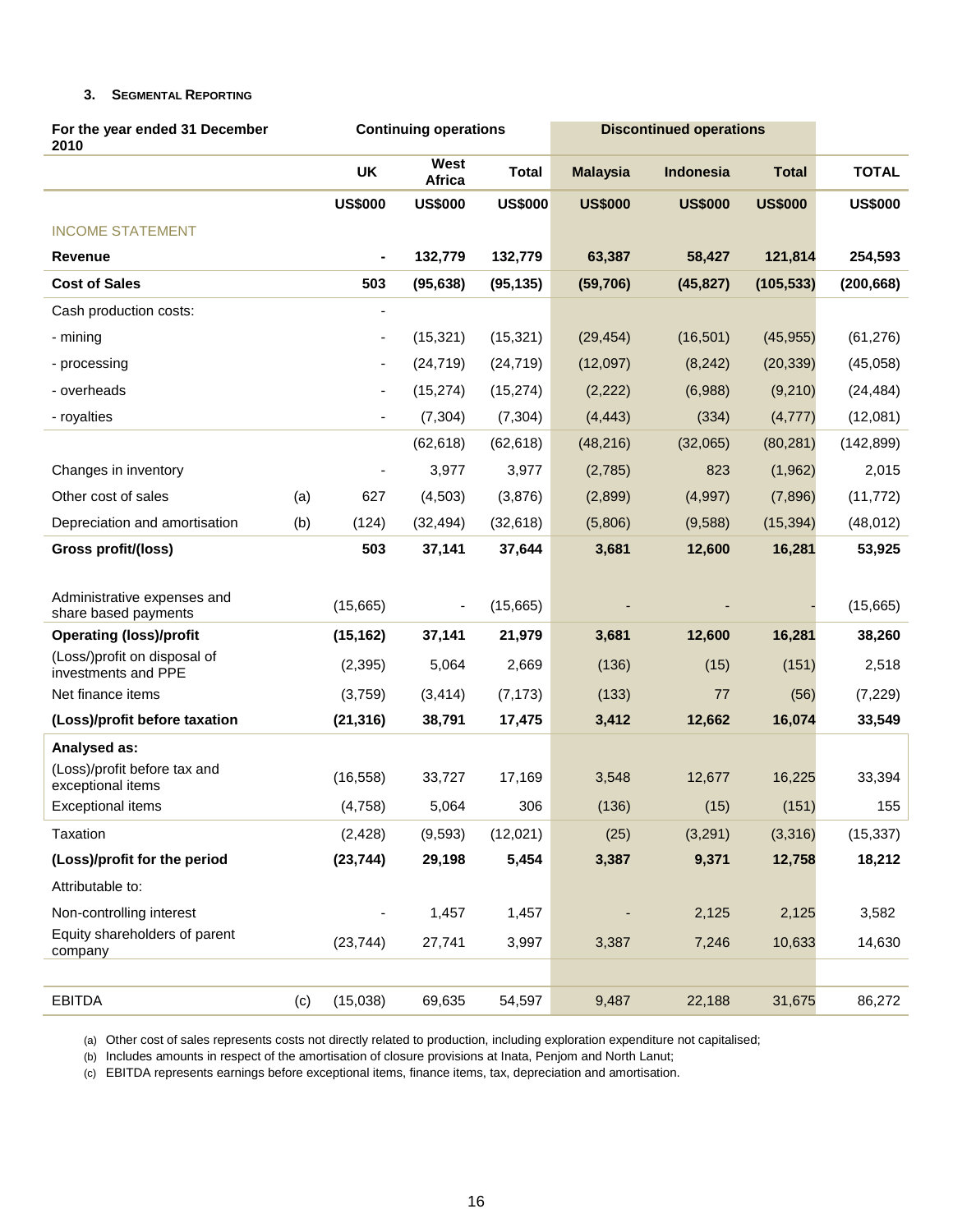# **3. SEGMENTAL REPORTING**

| For the year ended 31 December<br>2010              |     |                              | <b>Continuing operations</b> |                | <b>Discontinued operations</b> |                |                |                |
|-----------------------------------------------------|-----|------------------------------|------------------------------|----------------|--------------------------------|----------------|----------------|----------------|
|                                                     |     | <b>UK</b>                    | West<br><b>Africa</b>        | <b>Total</b>   | <b>Malaysia</b>                | Indonesia      | <b>Total</b>   | <b>TOTAL</b>   |
|                                                     |     | <b>US\$000</b>               | <b>US\$000</b>               | <b>US\$000</b> | <b>US\$000</b>                 | <b>US\$000</b> | <b>US\$000</b> | <b>US\$000</b> |
| <b>INCOME STATEMENT</b>                             |     |                              |                              |                |                                |                |                |                |
| Revenue                                             |     |                              | 132,779                      | 132,779        | 63,387                         | 58,427         | 121,814        | 254,593        |
| <b>Cost of Sales</b>                                |     | 503                          | (95, 638)                    | (95, 135)      | (59, 706)                      | (45, 827)      | (105, 533)     | (200, 668)     |
| Cash production costs:                              |     | ٠                            |                              |                |                                |                |                |                |
| - mining                                            |     | $\overline{\phantom{a}}$     | (15, 321)                    | (15, 321)      | (29, 454)                      | (16, 501)      | (45, 955)      | (61, 276)      |
| - processing                                        |     | $\overline{\phantom{a}}$     | (24, 719)                    | (24, 719)      | (12,097)                       | (8, 242)       | (20, 339)      | (45,058)       |
| - overheads                                         |     | $\qquad \qquad \blacksquare$ | (15, 274)                    | (15, 274)      | (2,222)                        | (6,988)        | (9,210)        | (24, 484)      |
| - royalties                                         |     | ä,                           | (7, 304)                     | (7, 304)       | (4, 443)                       | (334)          | (4, 777)       | (12,081)       |
|                                                     |     |                              | (62, 618)                    | (62, 618)      | (48, 216)                      | (32,065)       | (80, 281)      | (142, 899)     |
| Changes in inventory                                |     |                              | 3,977                        | 3,977          | (2,785)                        | 823            | (1,962)        | 2,015          |
| Other cost of sales                                 | (a) | 627                          | (4, 503)                     | (3,876)        | (2,899)                        | (4,997)        | (7,896)        | (11, 772)      |
| Depreciation and amortisation                       | (b) | (124)                        | (32, 494)                    | (32, 618)      | (5,806)                        | (9,588)        | (15, 394)      | (48, 012)      |
| Gross profit/(loss)                                 |     | 503                          | 37,141                       | 37,644         | 3,681                          | 12,600         | 16,281         | 53,925         |
|                                                     |     |                              |                              |                |                                |                |                |                |
| Administrative expenses and<br>share based payments |     | (15,665)                     | $\overline{\phantom{a}}$     | (15,665)       |                                |                |                | (15,665)       |
| <b>Operating (loss)/profit</b>                      |     | (15, 162)                    | 37,141                       | 21,979         | 3,681                          | 12,600         | 16,281         | 38,260         |
| (Loss/)profit on disposal of<br>investments and PPE |     | (2, 395)                     | 5,064                        | 2,669          | (136)                          | (15)           | (151)          | 2,518          |
| Net finance items                                   |     | (3,759)                      | (3, 414)                     | (7, 173)       | (133)                          | 77             | (56)           | (7, 229)       |
| (Loss)/profit before taxation                       |     | (21, 316)                    | 38,791                       | 17,475         | 3,412                          | 12,662         | 16,074         | 33,549         |
| Analysed as:                                        |     |                              |                              |                |                                |                |                |                |
| (Loss)/profit before tax and<br>exceptional items   |     | (16, 558)                    | 33,727                       | 17,169         | 3,548                          | 12,677         | 16,225         | 33,394         |
| <b>Exceptional items</b>                            |     | (4,758)                      | 5,064                        | 306            | (136)                          | (15)           | (151)          | 155            |
| Taxation                                            |     | (2, 428)                     | (9, 593)                     | (12,021)       | (25)                           | (3,291)        | (3,316)        | (15, 337)      |
| (Loss)/profit for the period                        |     | (23, 744)                    | 29,198                       | 5,454          | 3,387                          | 9,371          | 12,758         | 18,212         |
| Attributable to:                                    |     |                              |                              |                |                                |                |                |                |
| Non-controlling interest                            |     |                              | 1,457                        | 1,457          |                                | 2,125          | 2,125          | 3,582          |
| Equity shareholders of parent<br>company            |     | (23, 744)                    | 27,741                       | 3,997          | 3,387                          | 7,246          | 10,633         | 14,630         |
|                                                     |     |                              |                              |                |                                |                |                |                |
| <b>EBITDA</b>                                       | (c) | (15,038)                     | 69,635                       | 54,597         | 9,487                          | 22,188         | 31,675         | 86,272         |

(a) Other cost of sales represents costs not directly related to production, including exploration expenditure not capitalised;

(b) Includes amounts in respect of the amortisation of closure provisions at Inata, Penjom and North Lanut;

(c) EBITDA represents earnings before exceptional items, finance items, tax, depreciation and amortisation.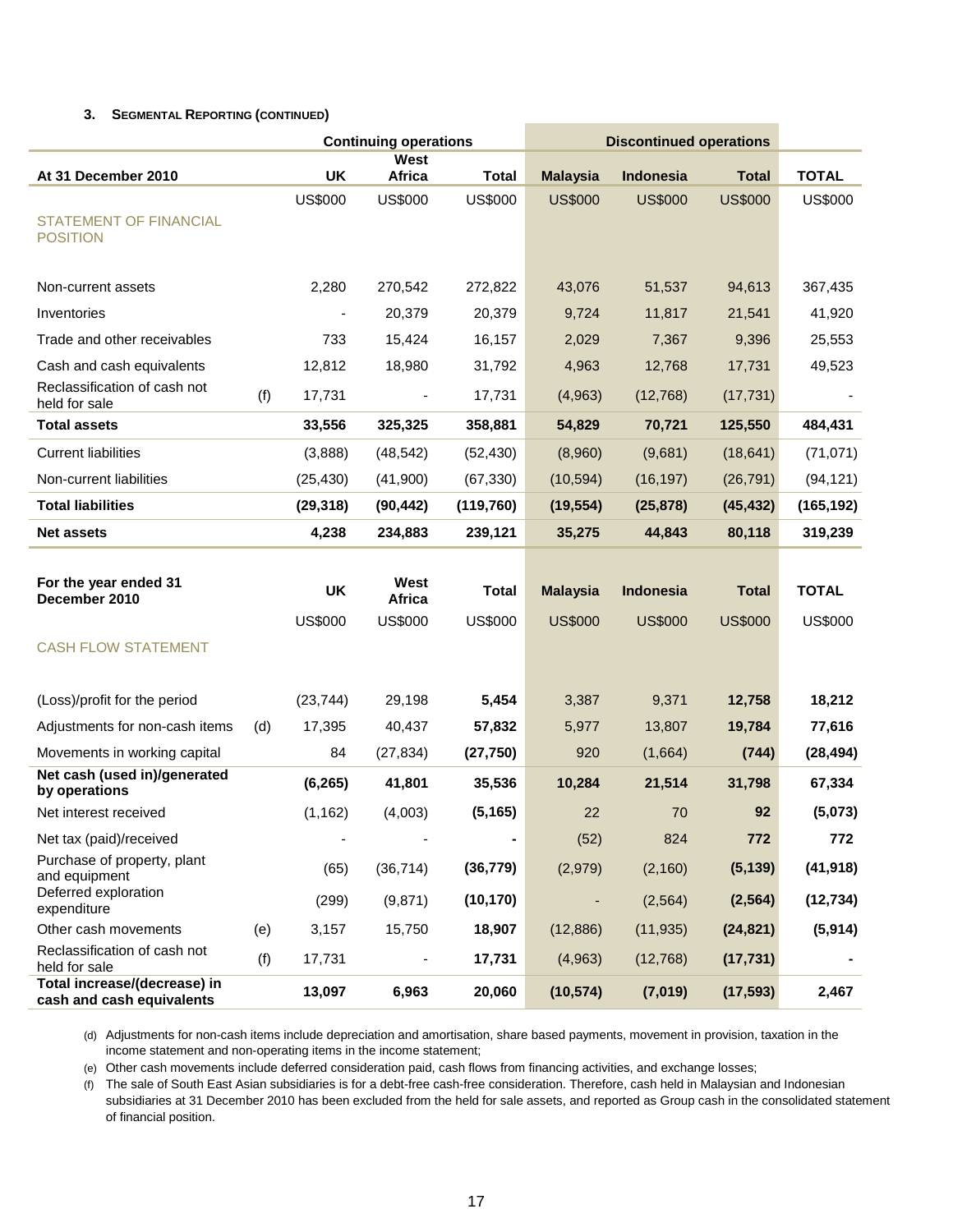# **3. SEGMENTAL REPORTING (CONTINUED)**

|                                                           |     |                | <b>Continuing operations</b> |                | <b>Discontinued operations</b> |                  |                |                |
|-----------------------------------------------------------|-----|----------------|------------------------------|----------------|--------------------------------|------------------|----------------|----------------|
| At 31 December 2010                                       |     | <b>UK</b>      | West<br>Africa               | <b>Total</b>   | <b>Malaysia</b>                | Indonesia        | <b>Total</b>   | <b>TOTAL</b>   |
| <b>STATEMENT OF FINANCIAL</b><br><b>POSITION</b>          |     | <b>US\$000</b> | <b>US\$000</b>               | <b>US\$000</b> | <b>US\$000</b>                 | <b>US\$000</b>   | <b>US\$000</b> | <b>US\$000</b> |
|                                                           |     |                |                              |                |                                |                  |                |                |
| Non-current assets                                        |     | 2,280          | 270,542                      | 272,822        | 43,076                         | 51,537           | 94,613         | 367,435        |
| Inventories                                               |     |                | 20,379                       | 20,379         | 9,724                          | 11,817           | 21,541         | 41,920         |
| Trade and other receivables                               |     | 733            | 15,424                       | 16,157         | 2,029                          | 7,367            | 9,396          | 25,553         |
| Cash and cash equivalents                                 |     | 12,812         | 18,980                       | 31,792         | 4,963                          | 12,768           | 17,731         | 49,523         |
| Reclassification of cash not<br>held for sale             | (f) | 17,731         | $\blacksquare$               | 17,731         | (4,963)                        | (12,768)         | (17, 731)      |                |
| <b>Total assets</b>                                       |     | 33,556         | 325,325                      | 358,881        | 54,829                         | 70,721           | 125,550        | 484,431        |
| <b>Current liabilities</b>                                |     | (3,888)        | (48, 542)                    | (52, 430)      | (8,960)                        | (9,681)          | (18, 641)      | (71, 071)      |
| Non-current liabilities                                   |     | (25, 430)      | (41,900)                     | (67, 330)      | (10, 594)                      | (16, 197)        | (26, 791)      | (94, 121)      |
| <b>Total liabilities</b>                                  |     | (29, 318)      | (90, 442)                    | (119, 760)     | (19, 554)                      | (25, 878)        | (45, 432)      | (165, 192)     |
| <b>Net assets</b>                                         |     | 4,238          | 234,883                      | 239,121        | 35,275                         | 44,843           | 80,118         | 319,239        |
| For the year ended 31<br>December 2010                    |     | <b>UK</b>      | West<br>Africa               | Total          | <b>Malaysia</b>                | <b>Indonesia</b> | <b>Total</b>   | <b>TOTAL</b>   |
|                                                           |     | <b>US\$000</b> | <b>US\$000</b>               | <b>US\$000</b> | <b>US\$000</b>                 | <b>US\$000</b>   | <b>US\$000</b> | <b>US\$000</b> |
| <b>CASH FLOW STATEMENT</b>                                |     |                |                              |                |                                |                  |                |                |
| (Loss)/profit for the period                              |     | (23, 744)      | 29,198                       | 5,454          | 3,387                          | 9,371            | 12,758         | 18,212         |
| Adjustments for non-cash items                            | (d) | 17,395         | 40,437                       | 57,832         | 5,977                          | 13,807           | 19,784         | 77,616         |
| Movements in working capital                              |     | 84             | (27, 834)                    | (27, 750)      | 920                            | (1,664)          | (744)          | (28, 494)      |
| Net cash (used in)/generated<br>by operations             |     | (6, 265)       | 41,801                       | 35,536         | 10,284                         | 21,514           | 31,798         | 67,334         |
| Net interest received                                     |     | (1, 162)       | (4,003)                      | (5, 165)       | 22                             | 70               | 92             | (5,073)        |
| Net tax (paid)/received                                   |     |                |                              |                | (52)                           | 824              | 772            | 772            |
| Purchase of property, plant<br>and equipment              |     | (65)           | (36, 714)                    | (36, 779)      | (2,979)                        | (2, 160)         | (5, 139)       | (41, 918)      |
| Deferred exploration<br>expenditure                       |     | (299)          | (9,871)                      | (10, 170)      |                                | (2, 564)         | (2, 564)       | (12, 734)      |
| Other cash movements                                      | (e) | 3,157          | 15,750                       | 18,907         | (12, 886)                      | (11, 935)        | (24, 821)      | (5, 914)       |
| Reclassification of cash not<br>held for sale             | (f) | 17,731         |                              | 17,731         | (4,963)                        | (12, 768)        | (17, 731)      |                |
| Total increase/(decrease) in<br>cash and cash equivalents |     | 13,097         | 6,963                        | 20,060         | (10, 574)                      | (7,019)          | (17, 593)      | 2,467          |

(d) Adjustments for non-cash items include depreciation and amortisation, share based payments, movement in provision, taxation in the income statement and non-operating items in the income statement;

(e) Other cash movements include deferred consideration paid, cash flows from financing activities, and exchange losses;

(f) The sale of South East Asian subsidiaries is for a debt-free cash-free consideration. Therefore, cash held in Malaysian and Indonesian subsidiaries at 31 December 2010 has been excluded from the held for sale assets, and reported as Group cash in the consolidated statement of financial position.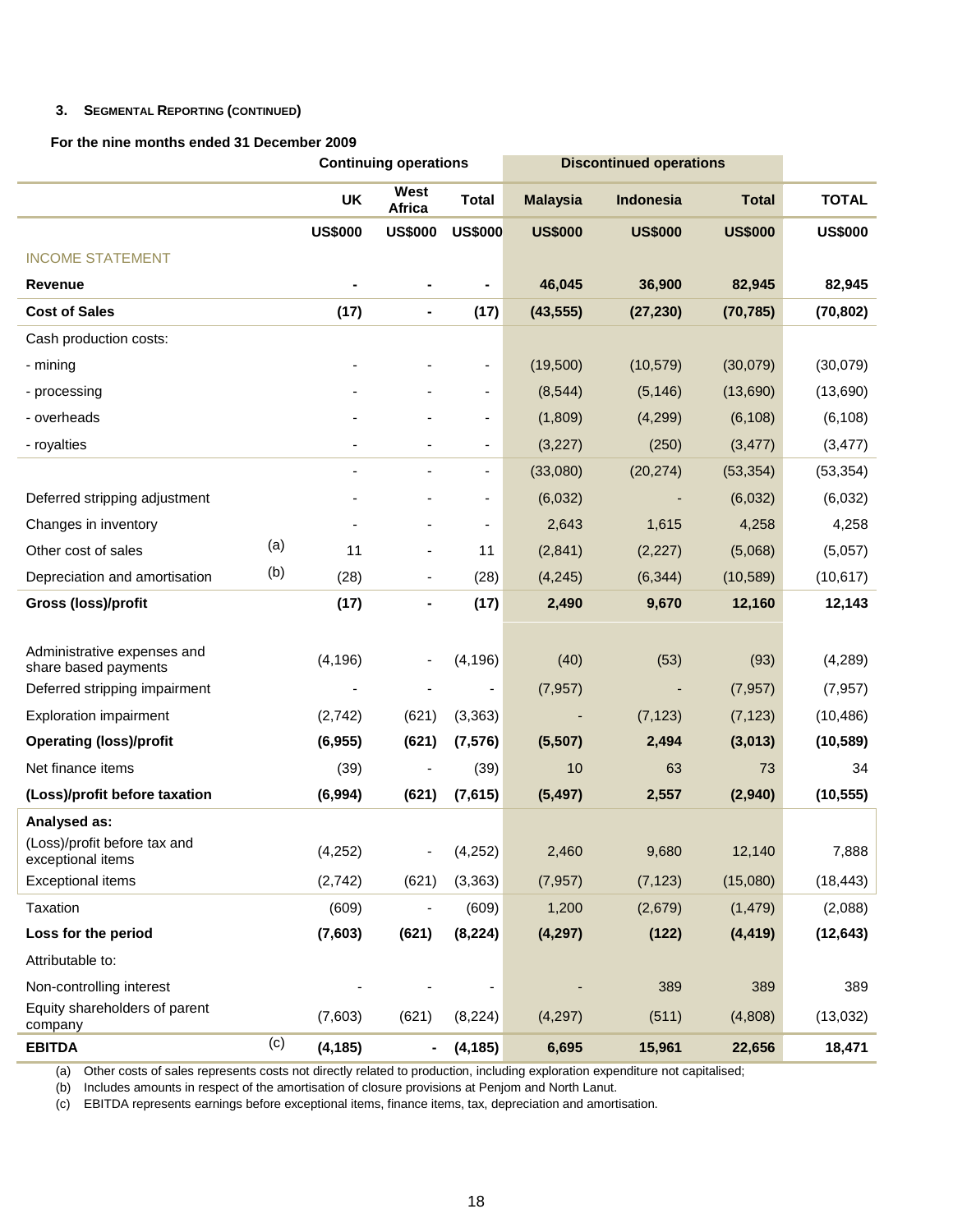# **3. SEGMENTAL REPORTING (CONTINUED)**

# **For the nine months ended 31 December 2009**

|                                                     |     | <b>Continuing operations</b> |                          |                          | <b>Discontinued operations</b> |                |                |                |
|-----------------------------------------------------|-----|------------------------------|--------------------------|--------------------------|--------------------------------|----------------|----------------|----------------|
|                                                     |     | UK                           | West<br>Africa           | <b>Total</b>             | <b>Malaysia</b>                | Indonesia      | <b>Total</b>   | <b>TOTAL</b>   |
|                                                     |     | <b>US\$000</b>               | <b>US\$000</b>           | <b>US\$000</b>           | <b>US\$000</b>                 | <b>US\$000</b> | <b>US\$000</b> | <b>US\$000</b> |
| <b>INCOME STATEMENT</b>                             |     |                              |                          |                          |                                |                |                |                |
| Revenue                                             |     |                              |                          |                          | 46,045                         | 36,900         | 82,945         | 82,945         |
| <b>Cost of Sales</b>                                |     | (17)                         | $\blacksquare$           | (17)                     | (43, 555)                      | (27, 230)      | (70, 785)      | (70, 802)      |
| Cash production costs:                              |     |                              |                          |                          |                                |                |                |                |
| - mining                                            |     |                              |                          |                          | (19,500)                       | (10, 579)      | (30,079)       | (30,079)       |
| - processing                                        |     |                              |                          | $\overline{\phantom{a}}$ | (8, 544)                       | (5, 146)       | (13,690)       | (13,690)       |
| - overheads                                         |     |                              |                          | -                        | (1,809)                        | (4,299)        | (6, 108)       | (6, 108)       |
| - royalties                                         |     |                              |                          |                          | (3,227)                        | (250)          | (3, 477)       | (3, 477)       |
|                                                     |     |                              |                          |                          | (33,080)                       | (20, 274)      | (53, 354)      | (53, 354)      |
| Deferred stripping adjustment                       |     |                              |                          |                          | (6,032)                        |                | (6,032)        | (6,032)        |
| Changes in inventory                                |     |                              |                          | $\overline{\phantom{a}}$ | 2,643                          | 1,615          | 4,258          | 4,258          |
| Other cost of sales                                 | (a) | 11                           |                          | 11                       | (2,841)                        | (2, 227)       | (5,068)        | (5,057)        |
| Depreciation and amortisation                       | (b) | (28)                         | $\overline{\phantom{a}}$ | (28)                     | (4, 245)                       | (6, 344)       | (10, 589)      | (10, 617)      |
| <b>Gross (loss)/profit</b>                          |     | (17)                         | ۰                        | (17)                     | 2,490                          | 9,670          | 12,160         | 12,143         |
|                                                     |     |                              |                          |                          |                                |                |                |                |
| Administrative expenses and<br>share based payments |     | (4, 196)                     |                          | (4, 196)                 | (40)                           | (53)           | (93)           | (4, 289)       |
| Deferred stripping impairment                       |     | ÷,                           |                          | $\overline{\phantom{a}}$ | (7, 957)                       | -              | (7, 957)       | (7, 957)       |
| <b>Exploration impairment</b>                       |     | (2,742)                      | (621)                    | (3, 363)                 |                                | (7, 123)       | (7, 123)       | (10, 486)      |
| <b>Operating (loss)/profit</b>                      |     | (6, 955)                     | (621)                    | (7, 576)                 | (5,507)                        | 2,494          | (3,013)        | (10, 589)      |
| Net finance items                                   |     | (39)                         |                          | (39)                     | 10                             | 63             | 73             | 34             |
| (Loss)/profit before taxation                       |     | (6,994)                      | (621)                    | (7,615)                  | (5, 497)                       | 2,557          | (2,940)        | (10, 555)      |
| Analysed as:                                        |     |                              |                          |                          |                                |                |                |                |
| (Loss)/profit before tax and<br>exceptional items   |     | (4,252)                      |                          | (4, 252)                 | 2,460                          | 9,680          | 12,140         | 7,888          |
| <b>Exceptional items</b>                            |     | (2,742)                      | (621)                    | (3, 363)                 | (7, 957)                       | (7, 123)       | (15,080)       | (18, 443)      |
| Taxation                                            |     | (609)                        |                          | (609)                    | 1,200                          | (2,679)        | (1, 479)       | (2,088)        |
| Loss for the period                                 |     | (7,603)                      | (621)                    | (8, 224)                 | (4, 297)                       | (122)          | (4, 419)       | (12, 643)      |
| Attributable to:                                    |     |                              |                          |                          |                                |                |                |                |
| Non-controlling interest                            |     |                              |                          |                          |                                | 389            | 389            | 389            |
| Equity shareholders of parent<br>company            |     | (7,603)                      | (621)                    | (8, 224)                 | (4, 297)                       | (511)          | (4,808)        | (13,032)       |
| <b>EBITDA</b>                                       | (c) | (4, 185)                     | $\blacksquare$           | (4, 185)                 | 6,695                          | 15,961         | 22,656         | 18,471         |

(a) Other costs of sales represents costs not directly related to production, including exploration expenditure not capitalised;

(b) Includes amounts in respect of the amortisation of closure provisions at Penjom and North Lanut.

(c) EBITDA represents earnings before exceptional items, finance items, tax, depreciation and amortisation.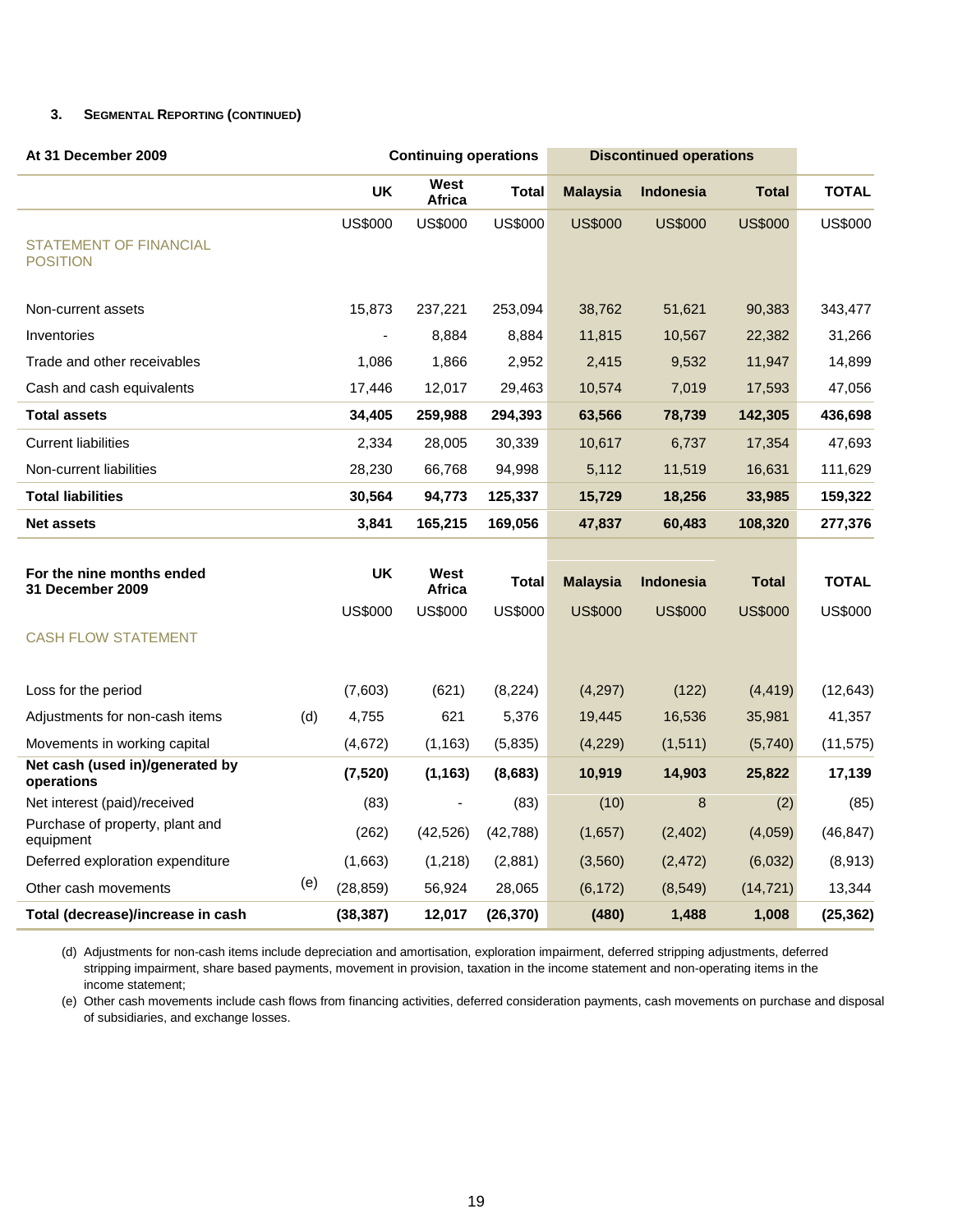# **3. SEGMENTAL REPORTING (CONTINUED)**

| At 31 December 2009                              |     |                | <b>Continuing operations</b> |                | <b>Discontinued operations</b> |                  |                |                |
|--------------------------------------------------|-----|----------------|------------------------------|----------------|--------------------------------|------------------|----------------|----------------|
|                                                  |     | <b>UK</b>      | West<br>Africa               | Total          | <b>Malaysia</b>                | <b>Indonesia</b> | <b>Total</b>   | <b>TOTAL</b>   |
|                                                  |     | <b>US\$000</b> | <b>US\$000</b>               | <b>US\$000</b> | <b>US\$000</b>                 | <b>US\$000</b>   | <b>US\$000</b> | <b>US\$000</b> |
| <b>STATEMENT OF FINANCIAL</b><br><b>POSITION</b> |     |                |                              |                |                                |                  |                |                |
|                                                  |     |                |                              |                |                                |                  |                |                |
| Non-current assets                               |     | 15,873         | 237,221                      | 253,094        | 38,762                         | 51,621           | 90,383         | 343,477        |
| Inventories                                      |     | $\blacksquare$ | 8,884                        | 8,884          | 11,815                         | 10,567           | 22,382         | 31,266         |
| Trade and other receivables                      |     | 1,086          | 1,866                        | 2,952          | 2,415                          | 9,532            | 11,947         | 14,899         |
| Cash and cash equivalents                        |     | 17,446         | 12,017                       | 29,463         | 10,574                         | 7,019            | 17,593         | 47,056         |
| <b>Total assets</b>                              |     | 34,405         | 259,988                      | 294,393        | 63,566                         | 78,739           | 142,305        | 436,698        |
| <b>Current liabilities</b>                       |     | 2,334          | 28,005                       | 30,339         | 10,617                         | 6,737            | 17,354         | 47,693         |
| Non-current liabilities                          |     | 28,230         | 66,768                       | 94,998         | 5,112                          | 11,519           | 16,631         | 111,629        |
| <b>Total liabilities</b>                         |     | 30,564         | 94,773                       | 125,337        | 15,729                         | 18,256           | 33,985         | 159,322        |
| <b>Net assets</b>                                |     | 3,841          | 165,215                      | 169,056        | 47,837                         | 60,483           | 108,320        | 277,376        |
|                                                  |     |                |                              |                |                                |                  |                |                |
| For the nine months ended<br>31 December 2009    |     | <b>UK</b>      | West<br><b>Africa</b>        | Total          | <b>Malaysia</b>                | <b>Indonesia</b> | <b>Total</b>   | <b>TOTAL</b>   |
|                                                  |     | <b>US\$000</b> | <b>US\$000</b>               | <b>US\$000</b> | <b>US\$000</b>                 | <b>US\$000</b>   | <b>US\$000</b> | <b>US\$000</b> |
| <b>CASH FLOW STATEMENT</b>                       |     |                |                              |                |                                |                  |                |                |
|                                                  |     |                |                              |                |                                |                  |                |                |
| Loss for the period                              |     | (7,603)        | (621)                        | (8, 224)       | (4, 297)                       | (122)            | (4, 419)       | (12, 643)      |
| Adjustments for non-cash items                   | (d) | 4.755          | 621                          | 5,376          | 19,445                         | 16,536           | 35,981         | 41,357         |
| Movements in working capital                     |     | (4,672)        | (1, 163)                     | (5,835)        | (4,229)                        | (1, 511)         | (5,740)        | (11, 575)      |
| Net cash (used in)/generated by<br>operations    |     | (7, 520)       | (1, 163)                     | (8,683)        | 10,919                         | 14,903           | 25,822         | 17,139         |
| Net interest (paid)/received                     |     | (83)           |                              | (83)           | (10)                           | 8                | (2)            | (85)           |
| Purchase of property, plant and<br>equipment     |     | (262)          | (42, 526)                    | (42,788)       | (1,657)                        | (2, 402)         | (4,059)        | (46, 847)      |
| Deferred exploration expenditure                 |     | (1,663)        | (1,218)                      | (2,881)        | (3,560)                        | (2, 472)         | (6,032)        | (8,913)        |
| Other cash movements                             | (e) | (28, 859)      | 56,924                       | 28,065         | (6, 172)                       | (8,549)          | (14, 721)      | 13,344         |
| Total (decrease)/increase in cash                |     | (38, 387)      | 12,017                       | (26, 370)      | (480)                          | 1,488            | 1,008          | (25, 362)      |

(d) Adjustments for non-cash items include depreciation and amortisation, exploration impairment, deferred stripping adjustments, deferred stripping impairment, share based payments, movement in provision, taxation in the income statement and non-operating items in the income statement;

(e) Other cash movements include cash flows from financing activities, deferred consideration payments, cash movements on purchase and disposal of subsidiaries, and exchange losses.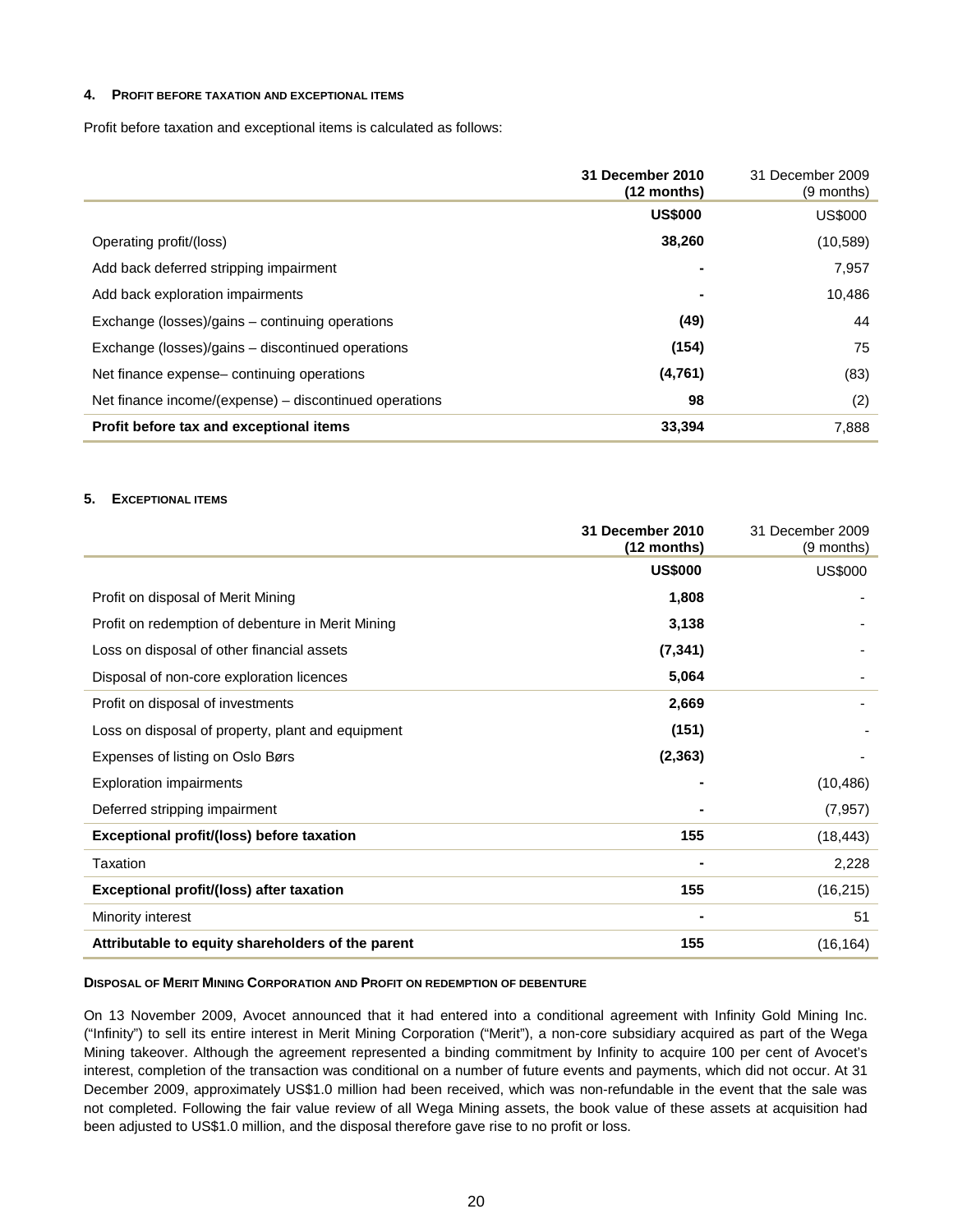#### **4. PROFIT BEFORE TAXATION AND EXCEPTIONAL ITEMS**

Profit before taxation and exceptional items is calculated as follows:

|                                                        | 31 December 2010<br>$(12$ months) | 31 December 2009<br>(9 months) |
|--------------------------------------------------------|-----------------------------------|--------------------------------|
|                                                        | <b>US\$000</b>                    | <b>US\$000</b>                 |
| Operating profit/(loss)                                | 38,260                            | (10, 589)                      |
| Add back deferred stripping impairment                 |                                   | 7,957                          |
| Add back exploration impairments                       |                                   | 10,486                         |
| Exchange (losses)/gains – continuing operations        | (49)                              | 44                             |
| Exchange (losses)/gains - discontinued operations      | (154)                             | 75                             |
| Net finance expense-continuing operations              | (4,761)                           | (83)                           |
| Net finance income/(expense) – discontinued operations | 98                                | (2)                            |
| Profit before tax and exceptional items                | 33,394                            | 7,888                          |

# **5. EXCEPTIONAL ITEMS**

|                                                   | 31 December 2010<br>$(12$ months) | 31 December 2009<br>(9 months) |
|---------------------------------------------------|-----------------------------------|--------------------------------|
|                                                   | <b>US\$000</b>                    | <b>US\$000</b>                 |
| Profit on disposal of Merit Mining                | 1,808                             |                                |
| Profit on redemption of debenture in Merit Mining | 3,138                             |                                |
| Loss on disposal of other financial assets        | (7, 341)                          |                                |
| Disposal of non-core exploration licences         | 5,064                             |                                |
| Profit on disposal of investments                 | 2,669                             |                                |
| Loss on disposal of property, plant and equipment | (151)                             |                                |
| Expenses of listing on Oslo Børs                  | (2, 363)                          |                                |
| <b>Exploration impairments</b>                    |                                   | (10, 486)                      |
| Deferred stripping impairment                     |                                   | (7, 957)                       |
| Exceptional profit/(loss) before taxation         | 155                               | (18, 443)                      |
| Taxation                                          |                                   | 2,228                          |
| Exceptional profit/(loss) after taxation          | 155                               | (16, 215)                      |
| Minority interest                                 |                                   | 51                             |
| Attributable to equity shareholders of the parent | 155                               | (16, 164)                      |

#### **DISPOSAL OF MERIT MINING CORPORATION AND PROFIT ON REDEMPTION OF DEBENTURE**

On 13 November 2009, Avocet announced that it had entered into a conditional agreement with Infinity Gold Mining Inc. ("Infinity") to sell its entire interest in Merit Mining Corporation ("Merit"), a non-core subsidiary acquired as part of the Wega Mining takeover. Although the agreement represented a binding commitment by Infinity to acquire 100 per cent of Avocet's interest, completion of the transaction was conditional on a number of future events and payments, which did not occur. At 31 December 2009, approximately US\$1.0 million had been received, which was non-refundable in the event that the sale was not completed. Following the fair value review of all Wega Mining assets, the book value of these assets at acquisition had been adjusted to US\$1.0 million, and the disposal therefore gave rise to no profit or loss.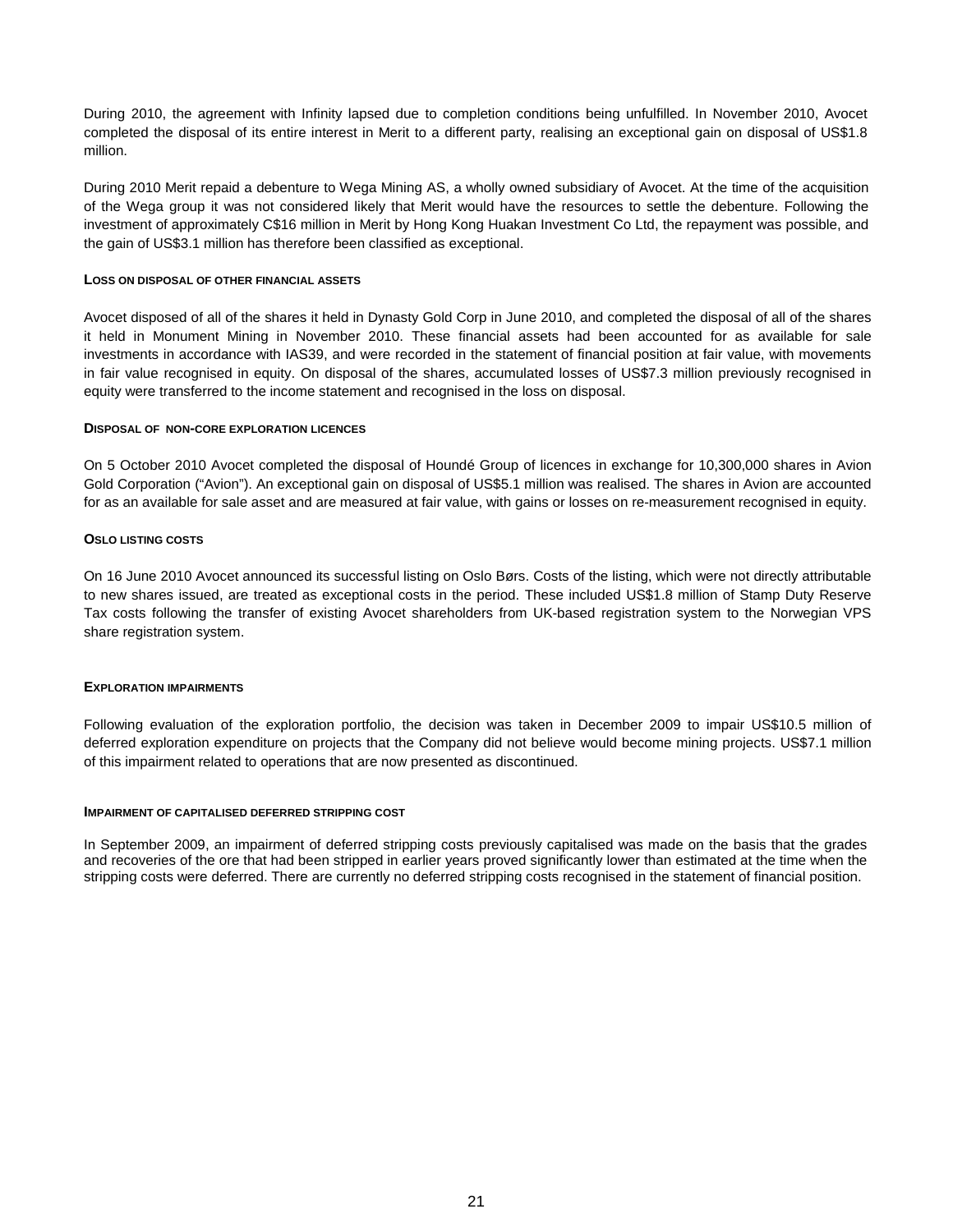During 2010, the agreement with Infinity lapsed due to completion conditions being unfulfilled. In November 2010, Avocet completed the disposal of its entire interest in Merit to a different party, realising an exceptional gain on disposal of US\$1.8 million.

During 2010 Merit repaid a debenture to Wega Mining AS, a wholly owned subsidiary of Avocet. At the time of the acquisition of the Wega group it was not considered likely that Merit would have the resources to settle the debenture. Following the investment of approximately C\$16 million in Merit by Hong Kong Huakan Investment Co Ltd, the repayment was possible, and the gain of US\$3.1 million has therefore been classified as exceptional.

### **LOSS ON DISPOSAL OF OTHER FINANCIAL ASSETS**

Avocet disposed of all of the shares it held in Dynasty Gold Corp in June 2010, and completed the disposal of all of the shares it held in Monument Mining in November 2010. These financial assets had been accounted for as available for sale investments in accordance with IAS39, and were recorded in the statement of financial position at fair value, with movements in fair value recognised in equity. On disposal of the shares, accumulated losses of US\$7.3 million previously recognised in equity were transferred to the income statement and recognised in the loss on disposal.

#### **DISPOSAL OF NON-CORE EXPLORATION LICENCES**

On 5 October 2010 Avocet completed the disposal of Houndé Group of licences in exchange for 10,300,000 shares in Avion Gold Corporation ("Avion"). An exceptional gain on disposal of US\$5.1 million was realised. The shares in Avion are accounted for as an available for sale asset and are measured at fair value, with gains or losses on re-measurement recognised in equity.

#### **OSLO LISTING COSTS**

On 16 June 2010 Avocet announced its successful listing on Oslo Børs. Costs of the listing, which were not directly attributable to new shares issued, are treated as exceptional costs in the period. These included US\$1.8 million of Stamp Duty Reserve Tax costs following the transfer of existing Avocet shareholders from UK-based registration system to the Norwegian VPS share registration system.

# **EXPLORATION IMPAIRMENTS**

Following evaluation of the exploration portfolio, the decision was taken in December 2009 to impair US\$10.5 million of deferred exploration expenditure on projects that the Company did not believe would become mining projects. US\$7.1 million of this impairment related to operations that are now presented as discontinued.

#### **IMPAIRMENT OF CAPITALISED DEFERRED STRIPPING COST**

In September 2009, an impairment of deferred stripping costs previously capitalised was made on the basis that the grades and recoveries of the ore that had been stripped in earlier years proved significantly lower than estimated at the time when the stripping costs were deferred. There are currently no deferred stripping costs recognised in the statement of financial position.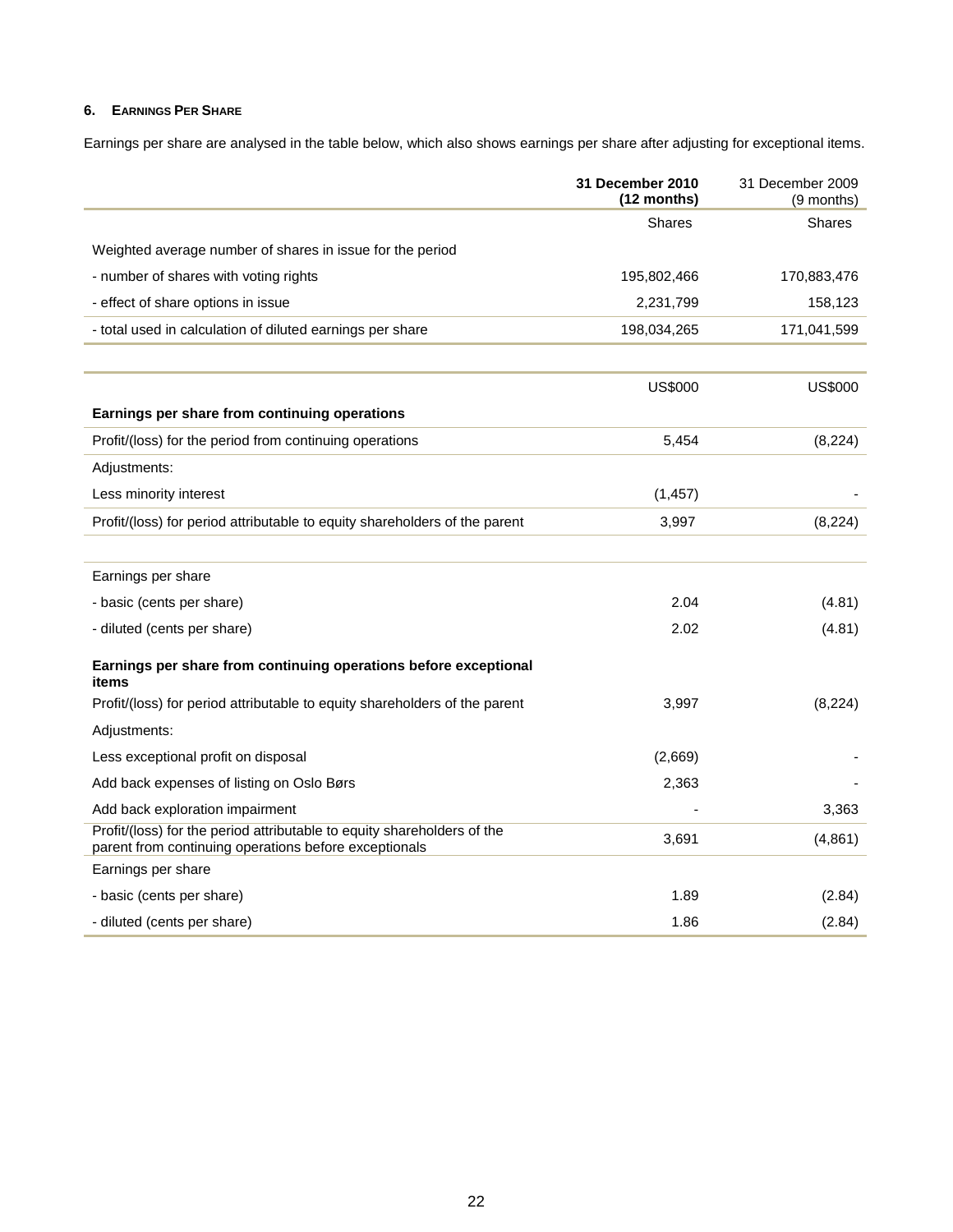# **6. EARNINGS PER SHARE**

Earnings per share are analysed in the table below, which also shows earnings per share after adjusting for exceptional items.

|                                                                                                                                  | 31 December 2010<br>(12 months) | 31 December 2009<br>(9 months) |
|----------------------------------------------------------------------------------------------------------------------------------|---------------------------------|--------------------------------|
|                                                                                                                                  | <b>Shares</b>                   | <b>Shares</b>                  |
| Weighted average number of shares in issue for the period                                                                        |                                 |                                |
| - number of shares with voting rights                                                                                            | 195,802,466                     | 170,883,476                    |
| - effect of share options in issue                                                                                               | 2,231,799                       | 158,123                        |
| - total used in calculation of diluted earnings per share                                                                        | 198,034,265                     | 171,041,599                    |
|                                                                                                                                  |                                 |                                |
|                                                                                                                                  | <b>US\$000</b>                  | <b>US\$000</b>                 |
| Earnings per share from continuing operations                                                                                    |                                 |                                |
| Profit/(loss) for the period from continuing operations                                                                          | 5,454                           | (8,224)                        |
| Adjustments:                                                                                                                     |                                 |                                |
| Less minority interest                                                                                                           | (1, 457)                        |                                |
| Profit/(loss) for period attributable to equity shareholders of the parent                                                       | 3,997                           | (8, 224)                       |
|                                                                                                                                  |                                 |                                |
| Earnings per share                                                                                                               |                                 |                                |
| - basic (cents per share)                                                                                                        | 2.04                            | (4.81)                         |
| - diluted (cents per share)                                                                                                      | 2.02                            | (4.81)                         |
| Earnings per share from continuing operations before exceptional<br>items                                                        |                                 |                                |
| Profit/(loss) for period attributable to equity shareholders of the parent                                                       | 3,997                           | (8, 224)                       |
| Adjustments:                                                                                                                     |                                 |                                |
| Less exceptional profit on disposal                                                                                              | (2,669)                         |                                |
| Add back expenses of listing on Oslo Børs                                                                                        | 2,363                           |                                |
| Add back exploration impairment                                                                                                  |                                 | 3,363                          |
| Profit/(loss) for the period attributable to equity shareholders of the<br>parent from continuing operations before exceptionals | 3,691                           | (4,861)                        |
| Earnings per share                                                                                                               |                                 |                                |
| - basic (cents per share)                                                                                                        | 1.89                            | (2.84)                         |
| - diluted (cents per share)                                                                                                      | 1.86                            | (2.84)                         |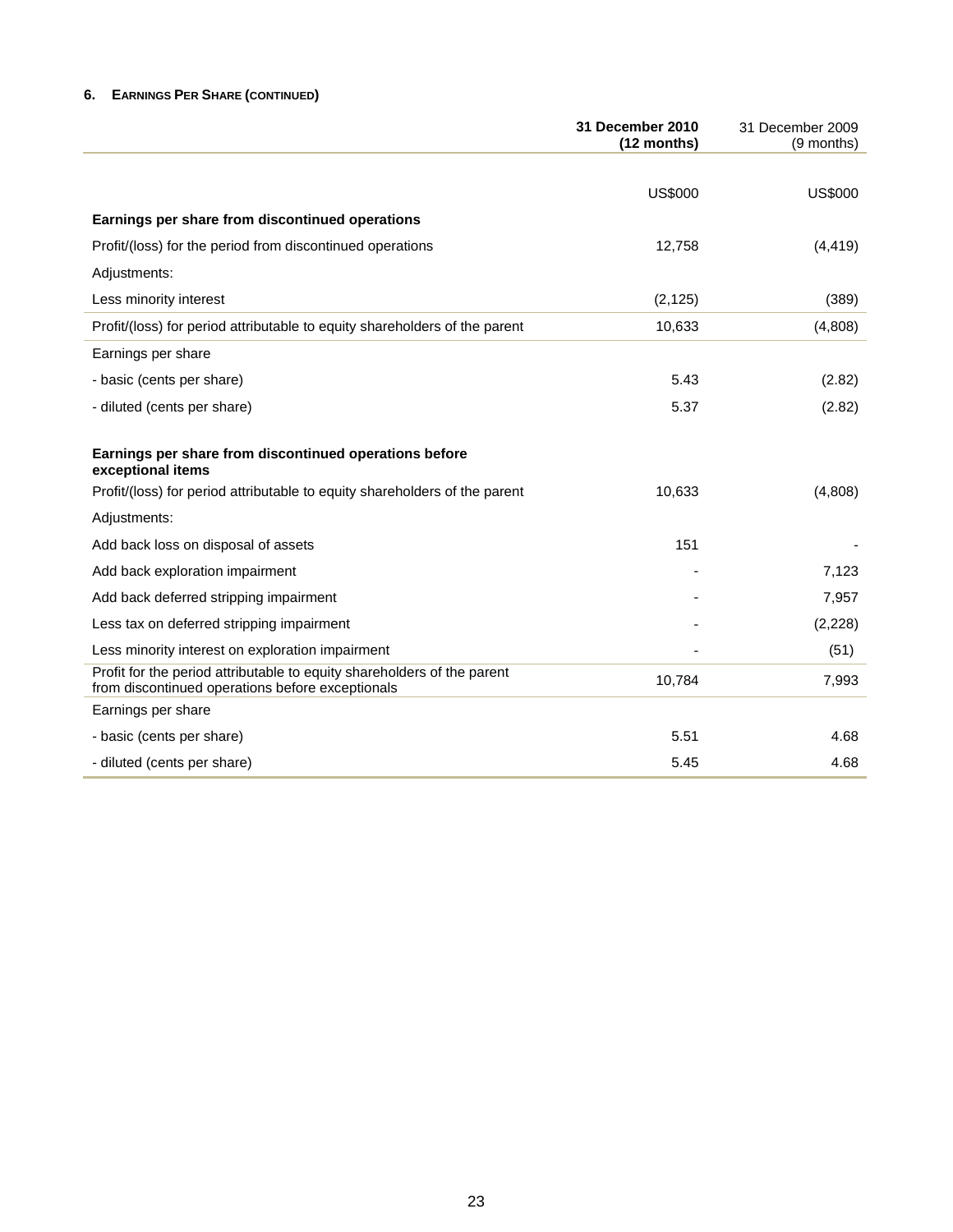# **6. EARNINGS PER SHARE (CONTINUED)**

|                                                                                                                             | <b>31 December 2010</b><br>(12 months) | 31 December 2009<br>(9 months) |
|-----------------------------------------------------------------------------------------------------------------------------|----------------------------------------|--------------------------------|
|                                                                                                                             |                                        |                                |
|                                                                                                                             | <b>US\$000</b>                         | <b>US\$000</b>                 |
| Earnings per share from discontinued operations                                                                             |                                        |                                |
| Profit/(loss) for the period from discontinued operations                                                                   | 12,758                                 | (4, 419)                       |
| Adjustments:                                                                                                                |                                        |                                |
| Less minority interest                                                                                                      | (2, 125)                               | (389)                          |
| Profit/(loss) for period attributable to equity shareholders of the parent                                                  | 10,633                                 | (4,808)                        |
| Earnings per share                                                                                                          |                                        |                                |
| - basic (cents per share)                                                                                                   | 5.43                                   | (2.82)                         |
| - diluted (cents per share)                                                                                                 | 5.37                                   | (2.82)                         |
| Earnings per share from discontinued operations before<br>exceptional items                                                 |                                        |                                |
| Profit/(loss) for period attributable to equity shareholders of the parent                                                  | 10,633                                 | (4,808)                        |
| Adjustments:                                                                                                                |                                        |                                |
| Add back loss on disposal of assets                                                                                         | 151                                    |                                |
| Add back exploration impairment                                                                                             |                                        | 7,123                          |
| Add back deferred stripping impairment                                                                                      |                                        | 7,957                          |
| Less tax on deferred stripping impairment                                                                                   |                                        | (2,228)                        |
| Less minority interest on exploration impairment                                                                            |                                        | (51)                           |
| Profit for the period attributable to equity shareholders of the parent<br>from discontinued operations before exceptionals | 10,784                                 | 7,993                          |
| Earnings per share                                                                                                          |                                        |                                |
| - basic (cents per share)                                                                                                   | 5.51                                   | 4.68                           |
| - diluted (cents per share)                                                                                                 | 5.45                                   | 4.68                           |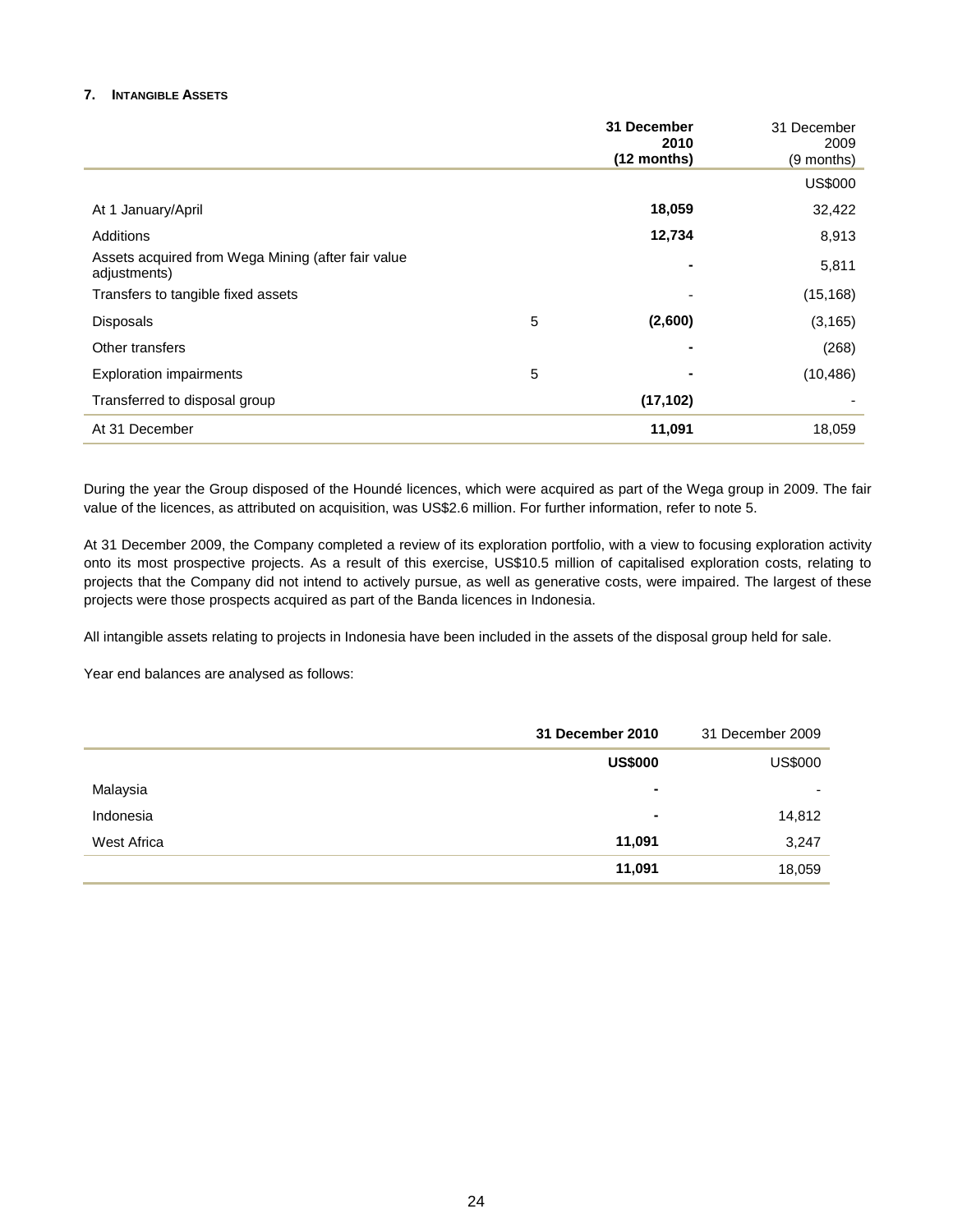# **7. INTANGIBLE ASSETS**

|                                                                    |            | 31 December<br>2010<br>(12 months) | 31 December<br>2009<br>(9 months) |
|--------------------------------------------------------------------|------------|------------------------------------|-----------------------------------|
|                                                                    |            |                                    | <b>US\$000</b>                    |
| At 1 January/April                                                 |            | 18,059                             | 32,422                            |
| <b>Additions</b>                                                   |            | 12,734                             | 8,913                             |
| Assets acquired from Wega Mining (after fair value<br>adjustments) |            | ۰                                  | 5,811                             |
| Transfers to tangible fixed assets                                 |            |                                    | (15, 168)                         |
| <b>Disposals</b>                                                   | $\sqrt{5}$ | (2,600)                            | (3, 165)                          |
| Other transfers                                                    |            | ۰                                  | (268)                             |
| <b>Exploration impairments</b>                                     | 5          |                                    | (10, 486)                         |
| Transferred to disposal group                                      |            | (17, 102)                          |                                   |
| At 31 December                                                     |            | 11,091                             | 18,059                            |

During the year the Group disposed of the Houndé licences, which were acquired as part of the Wega group in 2009. The fair value of the licences, as attributed on acquisition, was US\$2.6 million. For further information, refer to note 5.

At 31 December 2009, the Company completed a review of its exploration portfolio, with a view to focusing exploration activity onto its most prospective projects. As a result of this exercise, US\$10.5 million of capitalised exploration costs, relating to projects that the Company did not intend to actively pursue, as well as generative costs, were impaired. The largest of these projects were those prospects acquired as part of the Banda licences in Indonesia.

All intangible assets relating to projects in Indonesia have been included in the assets of the disposal group held for sale.

Year end balances are analysed as follows:

|             | 31 December 2010 | 31 December 2009         |
|-------------|------------------|--------------------------|
|             | <b>US\$000</b>   | <b>US\$000</b>           |
| Malaysia    | ۰                | $\overline{\phantom{0}}$ |
| Indonesia   | ۰                | 14,812                   |
| West Africa | 11,091           | 3,247                    |
|             | 11,091           | 18,059                   |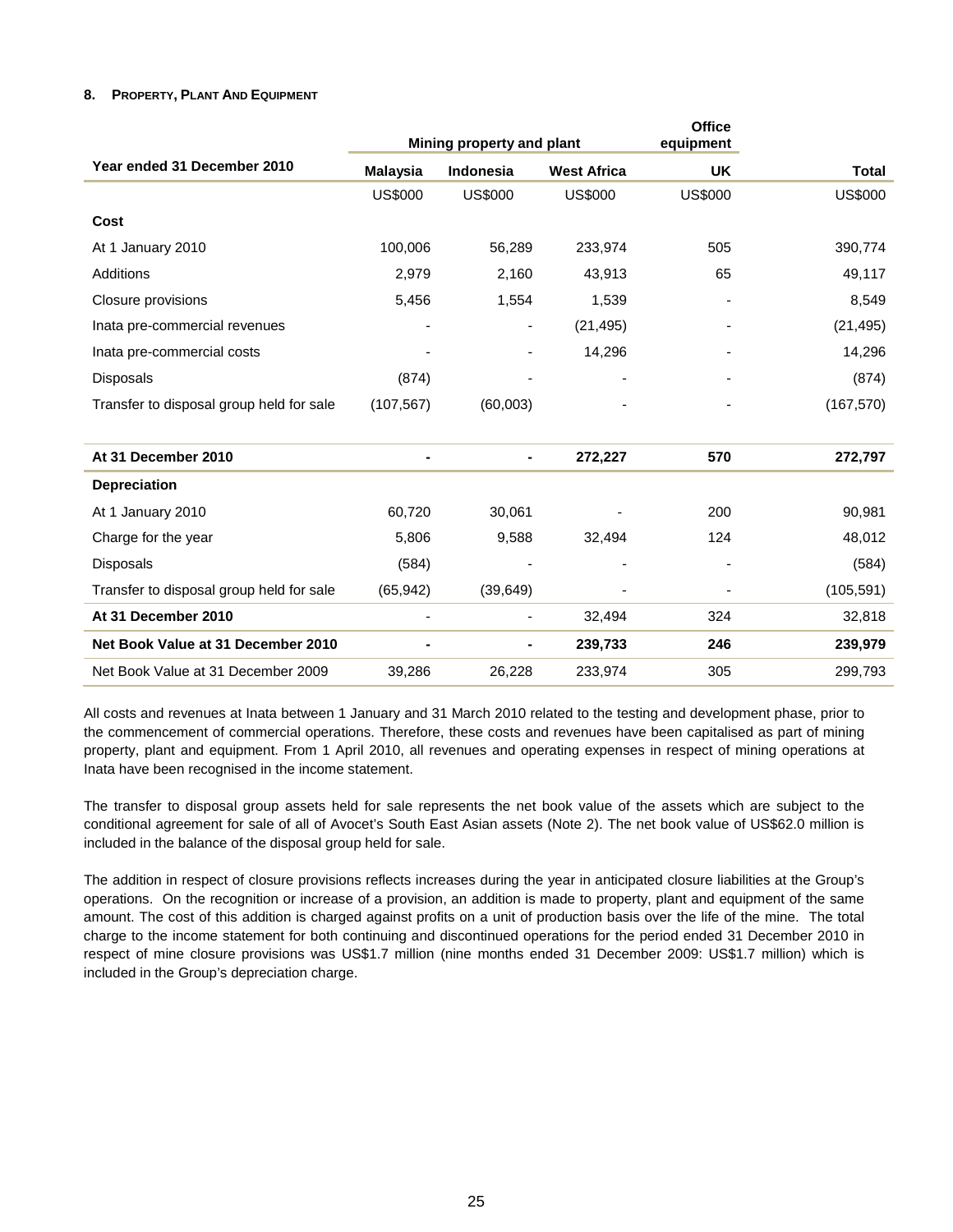# **8. PROPERTY, PLANT AND EQUIPMENT**

|                                          | Mining property and plant |                          |                    | <b>Office</b><br>equipment |                |
|------------------------------------------|---------------------------|--------------------------|--------------------|----------------------------|----------------|
| Year ended 31 December 2010              | <b>Malaysia</b>           | Indonesia                | <b>West Africa</b> | <b>UK</b>                  | <b>Total</b>   |
|                                          | <b>US\$000</b>            | <b>US\$000</b>           | <b>US\$000</b>     | <b>US\$000</b>             | <b>US\$000</b> |
| Cost                                     |                           |                          |                    |                            |                |
| At 1 January 2010                        | 100,006                   | 56,289                   | 233,974            | 505                        | 390,774        |
| Additions                                | 2,979                     | 2,160                    | 43,913             | 65                         | 49,117         |
| Closure provisions                       | 5,456                     | 1,554                    | 1,539              |                            | 8,549          |
| Inata pre-commercial revenues            |                           | $\overline{\phantom{a}}$ | (21, 495)          |                            | (21, 495)      |
| Inata pre-commercial costs               |                           |                          | 14,296             |                            | 14,296         |
| <b>Disposals</b>                         | (874)                     |                          |                    |                            | (874)          |
| Transfer to disposal group held for sale | (107, 567)                | (60,003)                 |                    |                            | (167, 570)     |
| At 31 December 2010                      |                           | ۰                        | 272,227            | 570                        | 272,797        |
| <b>Depreciation</b>                      |                           |                          |                    |                            |                |
| At 1 January 2010                        | 60,720                    | 30,061                   |                    | 200                        | 90,981         |
| Charge for the year                      | 5,806                     | 9,588                    | 32,494             | 124                        | 48,012         |
| <b>Disposals</b>                         | (584)                     |                          |                    |                            | (584)          |
| Transfer to disposal group held for sale | (65, 942)                 | (39, 649)                |                    |                            | (105, 591)     |
| At 31 December 2010                      |                           |                          | 32,494             | 324                        | 32,818         |
| Net Book Value at 31 December 2010       |                           | -                        | 239,733            | 246                        | 239,979        |
| Net Book Value at 31 December 2009       | 39,286                    | 26,228                   | 233,974            | 305                        | 299,793        |

All costs and revenues at Inata between 1 January and 31 March 2010 related to the testing and development phase, prior to the commencement of commercial operations. Therefore, these costs and revenues have been capitalised as part of mining property, plant and equipment. From 1 April 2010, all revenues and operating expenses in respect of mining operations at Inata have been recognised in the income statement.

The transfer to disposal group assets held for sale represents the net book value of the assets which are subject to the conditional agreement for sale of all of Avocet's South East Asian assets (Note 2). The net book value of US\$62.0 million is included in the balance of the disposal group held for sale.

The addition in respect of closure provisions reflects increases during the year in anticipated closure liabilities at the Group's operations. On the recognition or increase of a provision, an addition is made to property, plant and equipment of the same amount. The cost of this addition is charged against profits on a unit of production basis over the life of the mine. The total charge to the income statement for both continuing and discontinued operations for the period ended 31 December 2010 in respect of mine closure provisions was US\$1.7 million (nine months ended 31 December 2009: US\$1.7 million) which is included in the Group's depreciation charge.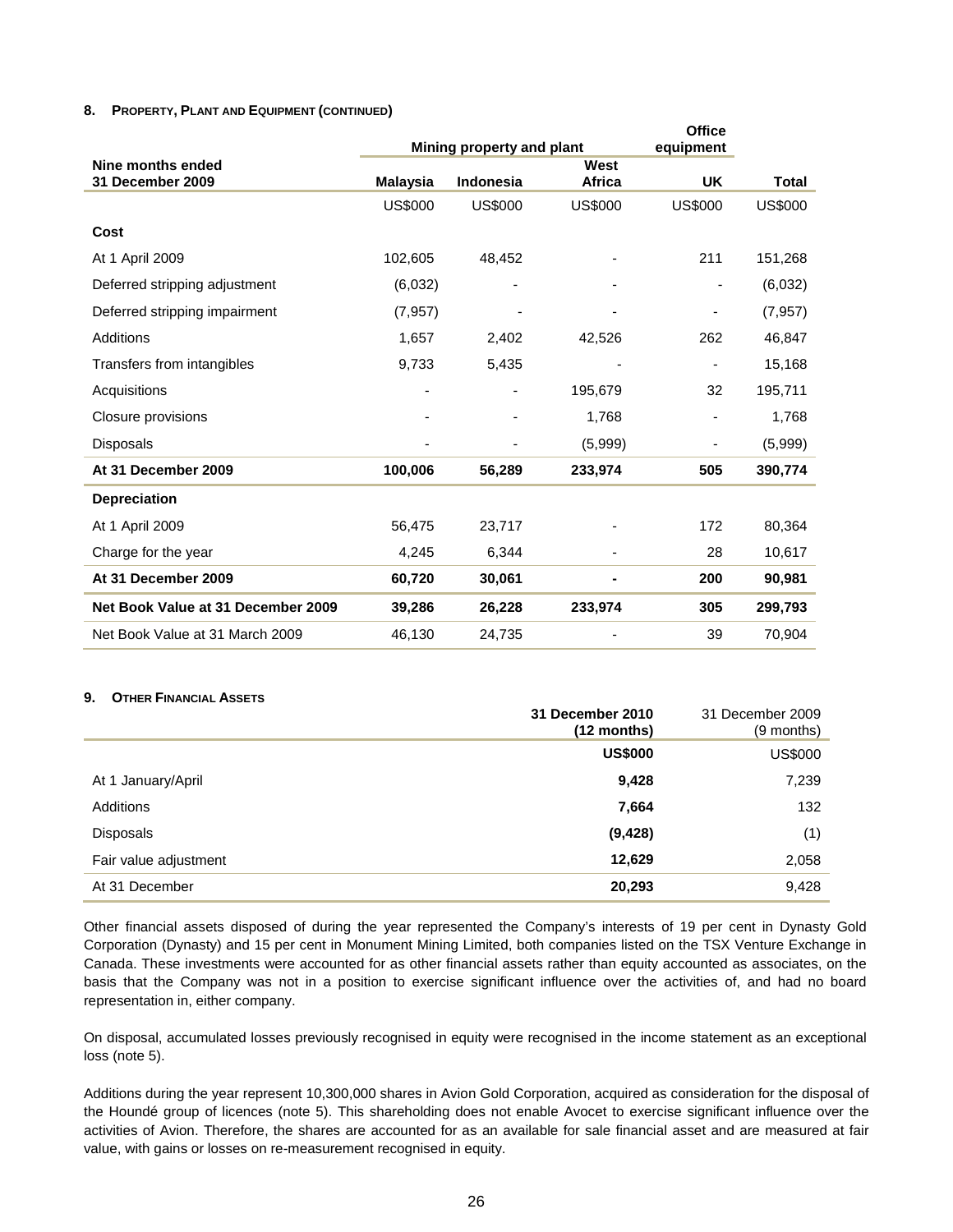## **8. PROPERTY, PLANT AND EQUIPMENT (CONTINUED)**

|                                    |                 | Mining property and plant |                | <b>Office</b><br>equipment |                |
|------------------------------------|-----------------|---------------------------|----------------|----------------------------|----------------|
| Nine months ended                  |                 |                           | West           |                            |                |
| 31 December 2009                   | <b>Malaysia</b> | Indonesia                 | Africa         | <b>UK</b>                  | <b>Total</b>   |
|                                    | <b>US\$000</b>  | <b>US\$000</b>            | <b>US\$000</b> | <b>US\$000</b>             | <b>US\$000</b> |
| Cost                               |                 |                           |                |                            |                |
| At 1 April 2009                    | 102,605         | 48,452                    |                | 211                        | 151,268        |
| Deferred stripping adjustment      | (6,032)         |                           |                |                            | (6,032)        |
| Deferred stripping impairment      | (7, 957)        |                           |                | $\overline{\phantom{0}}$   | (7, 957)       |
| Additions                          | 1,657           | 2,402                     | 42,526         | 262                        | 46,847         |
| Transfers from intangibles         | 9,733           | 5,435                     | ٠              | -                          | 15,168         |
| Acquisitions                       |                 |                           | 195,679        | 32                         | 195,711        |
| Closure provisions                 |                 |                           | 1,768          |                            | 1,768          |
| Disposals                          |                 |                           | (5,999)        |                            | (5,999)        |
| At 31 December 2009                | 100,006         | 56,289                    | 233,974        | 505                        | 390,774        |
| <b>Depreciation</b>                |                 |                           |                |                            |                |
| At 1 April 2009                    | 56,475          | 23,717                    |                | 172                        | 80,364         |
| Charge for the year                | 4,245           | 6,344                     |                | 28                         | 10,617         |
| At 31 December 2009                | 60,720          | 30,061                    |                | 200                        | 90,981         |
| Net Book Value at 31 December 2009 | 39,286          | 26,228                    | 233,974        | 305                        | 299,793        |
| Net Book Value at 31 March 2009    | 46,130          | 24,735                    |                | 39                         | 70,904         |

#### **9. OTHER FINANCIAL ASSETS**

|                       | 31 December 2010<br>$(12$ months) | 31 December 2009<br>$(9$ months) |
|-----------------------|-----------------------------------|----------------------------------|
|                       | <b>US\$000</b>                    | <b>US\$000</b>                   |
| At 1 January/April    | 9,428                             | 7,239                            |
| <b>Additions</b>      | 7,664                             | 132                              |
| <b>Disposals</b>      | (9, 428)                          | (1)                              |
| Fair value adjustment | 12,629                            | 2,058                            |
| At 31 December        | 20,293                            | 9,428                            |

Other financial assets disposed of during the year represented the Company's interests of 19 per cent in Dynasty Gold Corporation (Dynasty) and 15 per cent in Monument Mining Limited, both companies listed on the TSX Venture Exchange in Canada. These investments were accounted for as other financial assets rather than equity accounted as associates, on the basis that the Company was not in a position to exercise significant influence over the activities of, and had no board representation in, either company.

On disposal, accumulated losses previously recognised in equity were recognised in the income statement as an exceptional loss (note 5).

Additions during the year represent 10,300,000 shares in Avion Gold Corporation, acquired as consideration for the disposal of the Houndé group of licences (note 5). This shareholding does not enable Avocet to exercise significant influence over the activities of Avion. Therefore, the shares are accounted for as an available for sale financial asset and are measured at fair value, with gains or losses on re-measurement recognised in equity.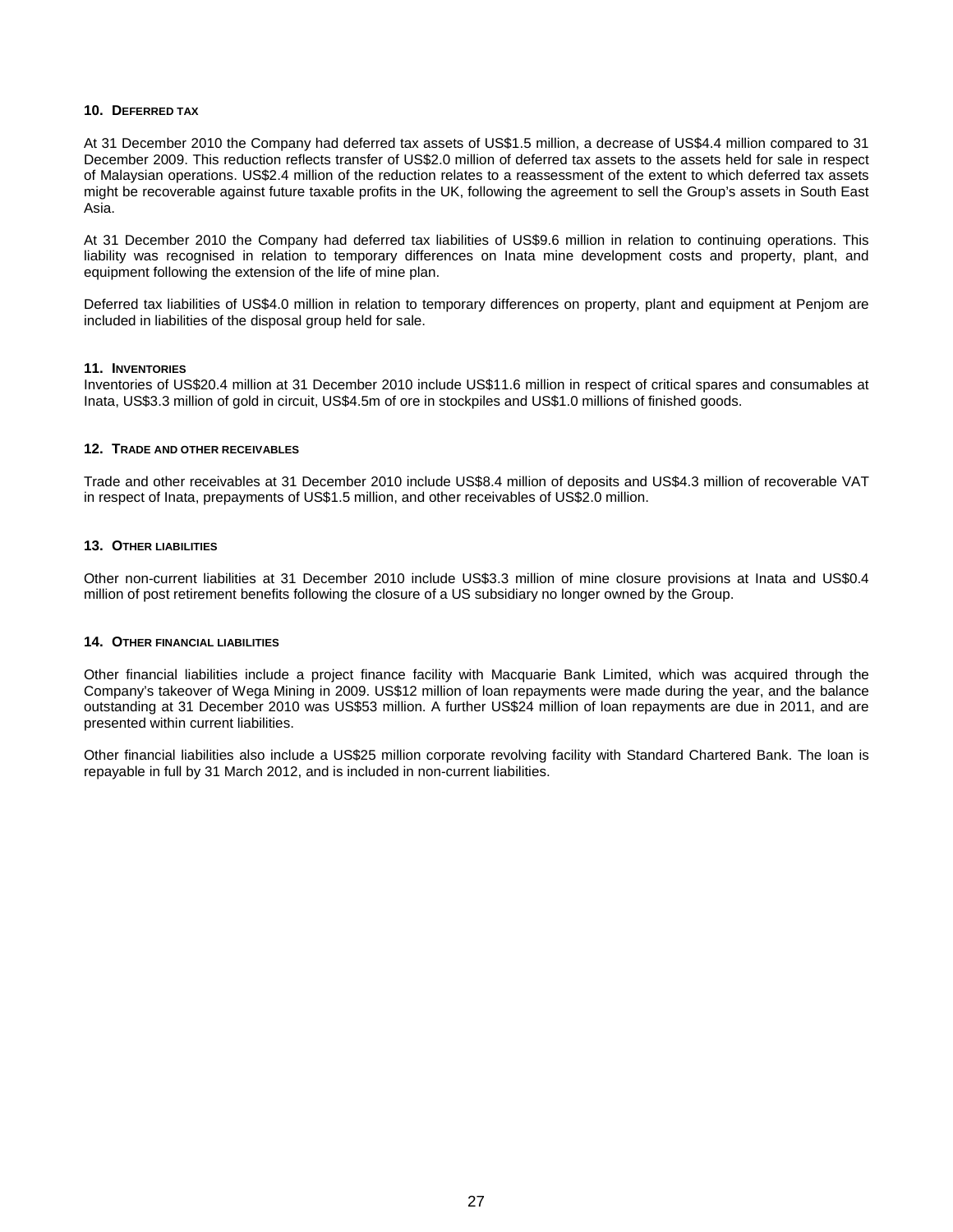#### **10. DEFERRED TAX**

At 31 December 2010 the Company had deferred tax assets of US\$1.5 million, a decrease of US\$4.4 million compared to 31 December 2009. This reduction reflects transfer of US\$2.0 million of deferred tax assets to the assets held for sale in respect of Malaysian operations. US\$2.4 million of the reduction relates to a reassessment of the extent to which deferred tax assets might be recoverable against future taxable profits in the UK, following the agreement to sell the Group's assets in South East Asia.

At 31 December 2010 the Company had deferred tax liabilities of US\$9.6 million in relation to continuing operations. This liability was recognised in relation to temporary differences on Inata mine development costs and property, plant, and equipment following the extension of the life of mine plan.

Deferred tax liabilities of US\$4.0 million in relation to temporary differences on property, plant and equipment at Penjom are included in liabilities of the disposal group held for sale.

#### **11. INVENTORIES**

Inventories of US\$20.4 million at 31 December 2010 include US\$11.6 million in respect of critical spares and consumables at Inata, US\$3.3 million of gold in circuit, US\$4.5m of ore in stockpiles and US\$1.0 millions of finished goods.

#### **12. TRADE AND OTHER RECEIVABLES**

Trade and other receivables at 31 December 2010 include US\$8.4 million of deposits and US\$4.3 million of recoverable VAT in respect of Inata, prepayments of US\$1.5 million, and other receivables of US\$2.0 million.

#### **13. OTHER LIABILITIES**

Other non-current liabilities at 31 December 2010 include US\$3.3 million of mine closure provisions at Inata and US\$0.4 million of post retirement benefits following the closure of a US subsidiary no longer owned by the Group.

#### **14. OTHER FINANCIAL LIABILITIES**

Other financial liabilities include a project finance facility with Macquarie Bank Limited, which was acquired through the Company's takeover of Wega Mining in 2009. US\$12 million of loan repayments were made during the year, and the balance outstanding at 31 December 2010 was US\$53 million. A further US\$24 million of loan repayments are due in 2011, and are presented within current liabilities.

Other financial liabilities also include a US\$25 million corporate revolving facility with Standard Chartered Bank. The loan is repayable in full by 31 March 2012, and is included in non-current liabilities.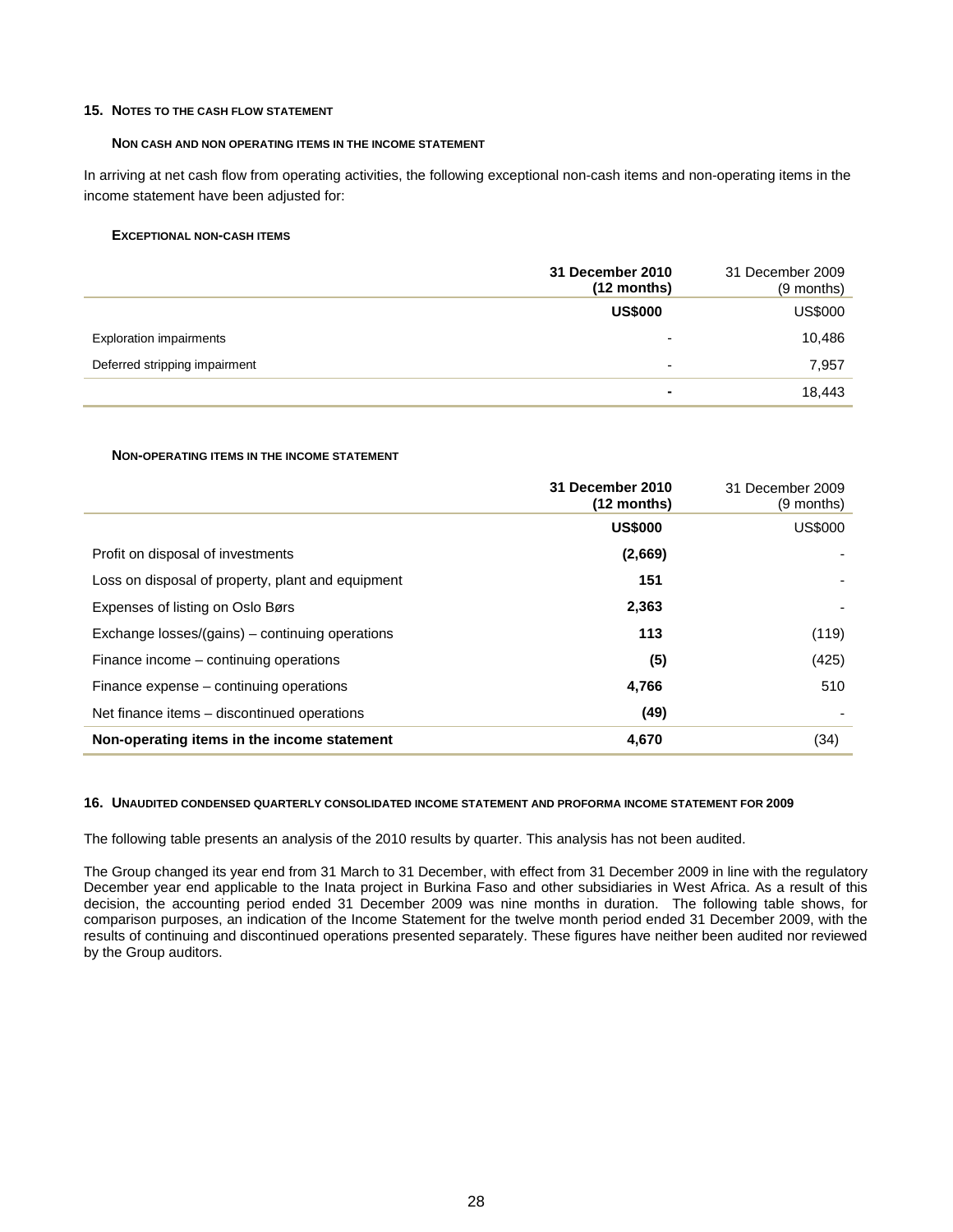#### **15. NOTES TO THE CASH FLOW STATEMENT**

#### **NON CASH AND NON OPERATING ITEMS IN THE INCOME STATEMENT**

In arriving at net cash flow from operating activities, the following exceptional non-cash items and non-operating items in the income statement have been adjusted for:

#### **EXCEPTIONAL NON-CASH ITEMS**

|                                | 31 December 2010<br>$(12$ months) | 31 December 2009<br>(9 months) |
|--------------------------------|-----------------------------------|--------------------------------|
|                                | <b>US\$000</b>                    | US\$000                        |
| <b>Exploration impairments</b> | $\overline{\phantom{0}}$          | 10,486                         |
| Deferred stripping impairment  | -                                 | 7,957                          |
|                                | $\blacksquare$                    | 18,443                         |

#### **NON-OPERATING ITEMS IN THE INCOME STATEMENT**

|                                                   | 31 December 2010<br>$(12$ months) | 31 December 2009<br>(9 months) |
|---------------------------------------------------|-----------------------------------|--------------------------------|
|                                                   | <b>US\$000</b>                    | <b>US\$000</b>                 |
| Profit on disposal of investments                 | (2,669)                           |                                |
| Loss on disposal of property, plant and equipment | 151                               |                                |
| Expenses of listing on Oslo Børs                  | 2,363                             |                                |
| Exchange losses/(gains) – continuing operations   | 113                               | (119)                          |
| Finance income – continuing operations            | (5)                               | (425)                          |
| Finance expense – continuing operations           | 4,766                             | 510                            |
| Net finance items – discontinued operations       | (49)                              |                                |
| Non-operating items in the income statement       | 4,670                             | (34)                           |

# **16. UNAUDITED CONDENSED QUARTERLY CONSOLIDATED INCOME STATEMENT AND PROFORMA INCOME STATEMENT FOR 2009**

The following table presents an analysis of the 2010 results by quarter. This analysis has not been audited.

The Group changed its year end from 31 March to 31 December, with effect from 31 December 2009 in line with the regulatory December year end applicable to the Inata project in Burkina Faso and other subsidiaries in West Africa. As a result of this decision, the accounting period ended 31 December 2009 was nine months in duration. The following table shows, for comparison purposes, an indication of the Income Statement for the twelve month period ended 31 December 2009, with the results of continuing and discontinued operations presented separately. These figures have neither been audited nor reviewed by the Group auditors.